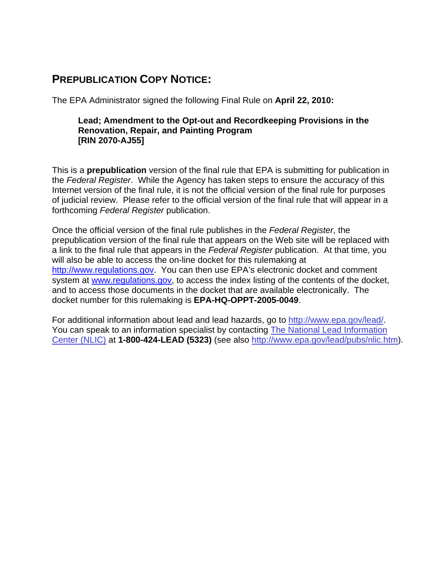## **PREPUBLICATION COPY NOTICE:**

The EPA Administrator signed the following Final Rule on **April 22, 2010:** 

## **Lead; Amendment to the Opt-out and Recordkeeping Provisions in the Renovation, Repair, and Painting Program [RIN 2070-AJ55]**

This is a **prepublication** version of the final rule that EPA is submitting for publication in the *Federal Register*. While the Agency has taken steps to ensure the accuracy of this Internet version of the final rule, it is not the official version of the final rule for purposes of judicial review. Please refer to the official version of the final rule that will appear in a forthcoming *Federal Register* publication.

Once the official version of the final rule publishes in the *Federal Register*, the prepublication version of the final rule that appears on the Web site will be replaced with a link to the final rule that appears in the *Federal Register* publication. At that time, you will also be able to access the on-line docket for this rulemaking at http://www.regulations.gov. You can then use EPA's electronic docket and comment system at www.regulations.gov, to access the index listing of the contents of the docket, and to access those documents in the docket that are available electronically. The docket number for this rulemaking is **EPA-HQ-OPPT-2005-0049**.

For additional information about lead and lead hazards, go to http://www.epa.gov/lead/. You can speak to an information specialist by contacting The National Lead Information Center (NLIC) at **1-800-424-LEAD (5323)** (see also http://www.epa.gov/lead/pubs/nlic.htm).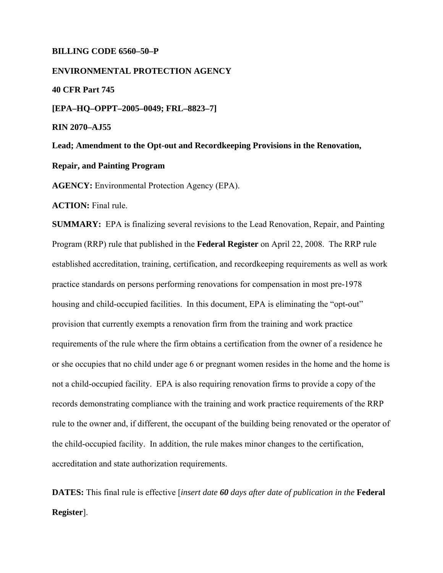#### **BILLING CODE 6560–50–P**

#### **ENVIRONMENTAL PROTECTION AGENCY**

**40 CFR Part 745**

**[EPA–HQ–OPPT–2005–0049; FRL–8823–7]**

**RIN 2070–AJ55**

**Lead; Amendment to the Opt-out and Recordkeeping Provisions in the Renovation, Repair, and Painting Program**

**AGENCY:** Environmental Protection Agency (EPA).

**ACTION:** Final rule.

**SUMMARY:** EPA is finalizing several revisions to the Lead Renovation, Repair, and Painting Program (RRP) rule that published in the **Federal Register** on April 22, 2008. The RRP rule established accreditation, training, certification, and recordkeeping requirements as well as work practice standards on persons performing renovations for compensation in most pre-1978 housing and child-occupied facilities. In this document, EPA is eliminating the "opt-out" provision that currently exempts a renovation firm from the training and work practice requirements of the rule where the firm obtains a certification from the owner of a residence he or she occupies that no child under age 6 or pregnant women resides in the home and the home is not a child-occupied facility. EPA is also requiring renovation firms to provide a copy of the records demonstrating compliance with the training and work practice requirements of the RRP rule to the owner and, if different, the occupant of the building being renovated or the operator of the child-occupied facility. In addition, the rule makes minor changes to the certification, accreditation and state authorization requirements.

**DATES:** This final rule is effective [*insert date 60 days after date of publication in the* **Federal Register**].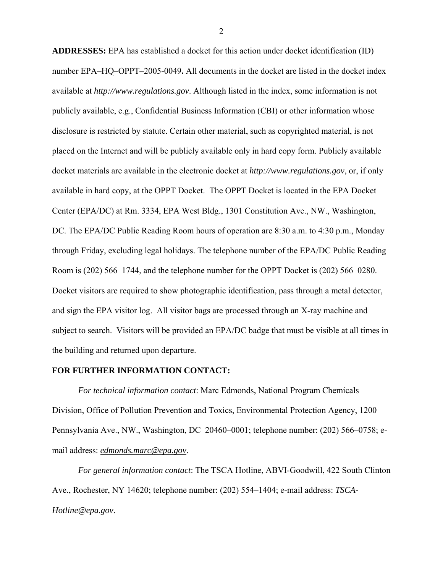**ADDRESSES:** EPA has established a docket for this action under docket identification (ID) number EPA–HQ–OPPT–2005-0049**.** All documents in the docket are listed in the docket index available at *http://www.regulations.gov*. Although listed in the index, some information is not publicly available, e.g., Confidential Business Information (CBI) or other information whose disclosure is restricted by statute. Certain other material, such as copyrighted material, is not placed on the Internet and will be publicly available only in hard copy form. Publicly available docket materials are available in the electronic docket at *http://www.regulations.gov*, or, if only available in hard copy, at the OPPT Docket. The OPPT Docket is located in the EPA Docket Center (EPA/DC) at Rm. 3334, EPA West Bldg., 1301 Constitution Ave., NW., Washington, DC. The EPA/DC Public Reading Room hours of operation are 8:30 a.m. to 4:30 p.m., Monday through Friday, excluding legal holidays. The telephone number of the EPA/DC Public Reading Room is (202) 566–1744, and the telephone number for the OPPT Docket is (202) 566–0280. Docket visitors are required to show photographic identification, pass through a metal detector, and sign the EPA visitor log. All visitor bags are processed through an X-ray machine and subject to search. Visitors will be provided an EPA/DC badge that must be visible at all times in the building and returned upon departure.

## **FOR FURTHER INFORMATION CONTACT:**

 *For technical information contact*: Marc Edmonds, National Program Chemicals Division, Office of Pollution Prevention and Toxics, Environmental Protection Agency, 1200 Pennsylvania Ave., NW., Washington, DC 20460–0001; telephone number: (202) 566–0758; email address: *edmonds.marc@epa.gov*.

*For general information contact*: The TSCA Hotline, ABVI-Goodwill, 422 South Clinton Ave., Rochester, NY 14620; telephone number: (202) 554–1404; e-mail address: *TSCA-Hotline@epa.gov*.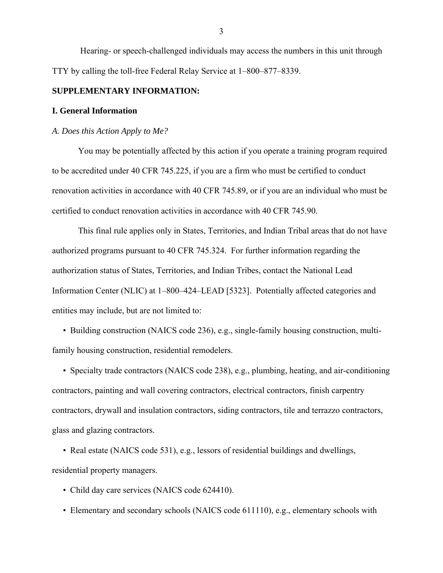Hearing- or speech-challenged individuals may access the numbers in this unit through TTY by calling the toll-free Federal Relay Service at 1–800–877–8339.

## **SUPPLEMENTARY INFORMATION:**

### **I. General Information**

#### *A. Does this Action Apply to Me?*

 You may be potentially affected by this action if you operate a training program required to be accredited under 40 CFR 745.225, if you are a firm who must be certified to conduct renovation activities in accordance with 40 CFR 745.89, or if you are an individual who must be certified to conduct renovation activities in accordance with 40 CFR 745.90.

 This final rule applies only in States, Territories, and Indian Tribal areas that do not have authorized programs pursuant to 40 CFR 745.324. For further information regarding the authorization status of States, Territories, and Indian Tribes, contact the National Lead Information Center (NLIC) at 1–800–424–LEAD [5323]. Potentially affected categories and entities may include, but are not limited to:

 • Building construction (NAICS code 236), e.g., single-family housing construction, multifamily housing construction, residential remodelers.

 • Specialty trade contractors (NAICS code 238), e.g., plumbing, heating, and air-conditioning contractors, painting and wall covering contractors, electrical contractors, finish carpentry contractors, drywall and insulation contractors, siding contractors, tile and terrazzo contractors, glass and glazing contractors.

 • Real estate (NAICS code 531), e.g., lessors of residential buildings and dwellings, residential property managers.

• Child day care services (NAICS code 624410).

• Elementary and secondary schools (NAICS code 611110), e.g., elementary schools with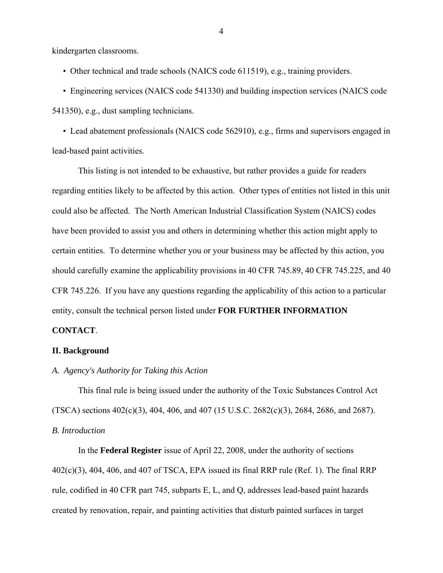kindergarten classrooms.

• Other technical and trade schools (NAICS code 611519), e.g., training providers.

 • Engineering services (NAICS code 541330) and building inspection services (NAICS code 541350), e.g., dust sampling technicians.

 • Lead abatement professionals (NAICS code 562910), e.g., firms and supervisors engaged in lead-based paint activities.

 This listing is not intended to be exhaustive, but rather provides a guide for readers regarding entities likely to be affected by this action. Other types of entities not listed in this unit could also be affected. The North American Industrial Classification System (NAICS) codes have been provided to assist you and others in determining whether this action might apply to certain entities. To determine whether you or your business may be affected by this action, you should carefully examine the applicability provisions in 40 CFR 745.89, 40 CFR 745.225, and 40 CFR 745.226. If you have any questions regarding the applicability of this action to a particular entity, consult the technical person listed under **FOR FURTHER INFORMATION** 

## **CONTACT**.

## **II. Background**

## *A. Agency's Authority for Taking this Action*

 This final rule is being issued under the authority of the Toxic Substances Control Act (TSCA) sections 402(c)(3), 404, 406, and 407 (15 U.S.C. 2682(c)(3), 2684, 2686, and 2687). *B. Introduction* 

 In the **Federal Register** issue of April 22, 2008, under the authority of sections  $402(c)(3)$ ,  $404$ ,  $406$ , and  $407$  of TSCA, EPA issued its final RRP rule (Ref. 1). The final RRP rule, codified in 40 CFR part 745, subparts E, L, and Q, addresses lead-based paint hazards created by renovation, repair, and painting activities that disturb painted surfaces in target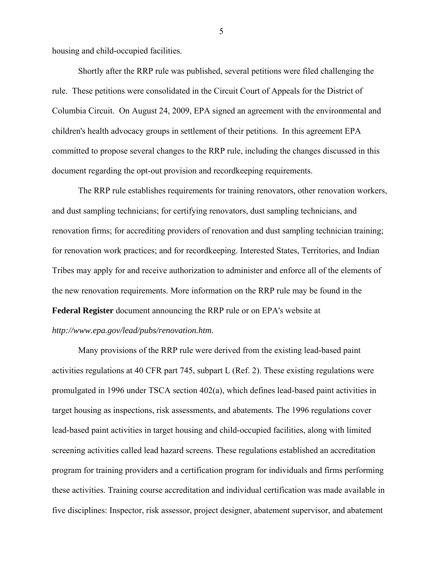housing and child-occupied facilities.

 Shortly after the RRP rule was published, several petitions were filed challenging the rule. These petitions were consolidated in the Circuit Court of Appeals for the District of Columbia Circuit. On August 24, 2009, EPA signed an agreement with the environmental and children's health advocacy groups in settlement of their petitions. In this agreement EPA committed to propose several changes to the RRP rule, including the changes discussed in this document regarding the opt-out provision and recordkeeping requirements.

 The RRP rule establishes requirements for training renovators, other renovation workers, and dust sampling technicians; for certifying renovators, dust sampling technicians, and renovation firms; for accrediting providers of renovation and dust sampling technician training; for renovation work practices; and for recordkeeping. Interested States, Territories, and Indian Tribes may apply for and receive authorization to administer and enforce all of the elements of the new renovation requirements. More information on the RRP rule may be found in the **Federal Register** document announcing the RRP rule or on EPA's website at *http://www.epa.gov/lead/pubs/renovation.htm*.

 Many provisions of the RRP rule were derived from the existing lead-based paint activities regulations at 40 CFR part 745, subpart L (Ref. 2). These existing regulations were promulgated in 1996 under TSCA section 402(a), which defines lead-based paint activities in target housing as inspections, risk assessments, and abatements. The 1996 regulations cover lead-based paint activities in target housing and child-occupied facilities, along with limited screening activities called lead hazard screens. These regulations established an accreditation program for training providers and a certification program for individuals and firms performing these activities. Training course accreditation and individual certification was made available in five disciplines: Inspector, risk assessor, project designer, abatement supervisor, and abatement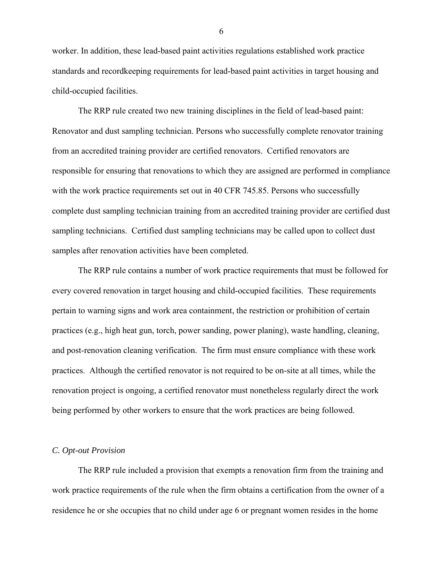worker. In addition, these lead-based paint activities regulations established work practice standards and recordkeeping requirements for lead-based paint activities in target housing and child-occupied facilities.

 The RRP rule created two new training disciplines in the field of lead-based paint: Renovator and dust sampling technician. Persons who successfully complete renovator training from an accredited training provider are certified renovators. Certified renovators are responsible for ensuring that renovations to which they are assigned are performed in compliance with the work practice requirements set out in 40 CFR 745.85. Persons who successfully complete dust sampling technician training from an accredited training provider are certified dust sampling technicians. Certified dust sampling technicians may be called upon to collect dust samples after renovation activities have been completed.

 The RRP rule contains a number of work practice requirements that must be followed for every covered renovation in target housing and child-occupied facilities. These requirements pertain to warning signs and work area containment, the restriction or prohibition of certain practices (e.g., high heat gun, torch, power sanding, power planing), waste handling, cleaning, and post-renovation cleaning verification. The firm must ensure compliance with these work practices. Although the certified renovator is not required to be on-site at all times, while the renovation project is ongoing, a certified renovator must nonetheless regularly direct the work being performed by other workers to ensure that the work practices are being followed.

## *C. Opt-out Provision*

 The RRP rule included a provision that exempts a renovation firm from the training and work practice requirements of the rule when the firm obtains a certification from the owner of a residence he or she occupies that no child under age 6 or pregnant women resides in the home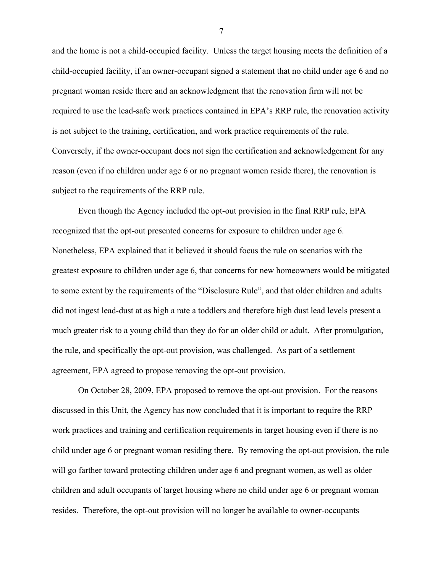and the home is not a child-occupied facility. Unless the target housing meets the definition of a child-occupied facility, if an owner-occupant signed a statement that no child under age 6 and no pregnant woman reside there and an acknowledgment that the renovation firm will not be required to use the lead-safe work practices contained in EPA's RRP rule, the renovation activity is not subject to the training, certification, and work practice requirements of the rule. Conversely, if the owner-occupant does not sign the certification and acknowledgement for any reason (even if no children under age 6 or no pregnant women reside there), the renovation is subject to the requirements of the RRP rule.

 Even though the Agency included the opt-out provision in the final RRP rule, EPA recognized that the opt-out presented concerns for exposure to children under age 6. Nonetheless, EPA explained that it believed it should focus the rule on scenarios with the greatest exposure to children under age 6, that concerns for new homeowners would be mitigated to some extent by the requirements of the "Disclosure Rule", and that older children and adults did not ingest lead-dust at as high a rate a toddlers and therefore high dust lead levels present a much greater risk to a young child than they do for an older child or adult. After promulgation, the rule, and specifically the opt-out provision, was challenged. As part of a settlement agreement, EPA agreed to propose removing the opt-out provision.

On October 28, 2009, EPA proposed to remove the opt-out provision. For the reasons discussed in this Unit, the Agency has now concluded that it is important to require the RRP work practices and training and certification requirements in target housing even if there is no child under age 6 or pregnant woman residing there. By removing the opt-out provision, the rule will go farther toward protecting children under age 6 and pregnant women, as well as older children and adult occupants of target housing where no child under age 6 or pregnant woman resides. Therefore, the opt-out provision will no longer be available to owner-occupants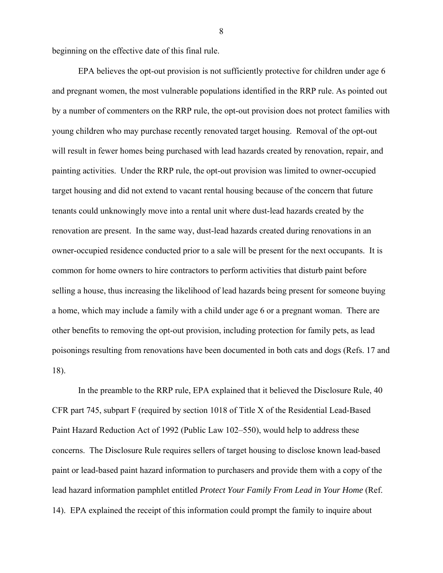beginning on the effective date of this final rule.

EPA believes the opt-out provision is not sufficiently protective for children under age 6 and pregnant women, the most vulnerable populations identified in the RRP rule. As pointed out by a number of commenters on the RRP rule, the opt-out provision does not protect families with young children who may purchase recently renovated target housing. Removal of the opt-out will result in fewer homes being purchased with lead hazards created by renovation, repair, and painting activities. Under the RRP rule, the opt-out provision was limited to owner-occupied target housing and did not extend to vacant rental housing because of the concern that future tenants could unknowingly move into a rental unit where dust-lead hazards created by the renovation are present. In the same way, dust-lead hazards created during renovations in an owner-occupied residence conducted prior to a sale will be present for the next occupants. It is common for home owners to hire contractors to perform activities that disturb paint before selling a house, thus increasing the likelihood of lead hazards being present for someone buying a home, which may include a family with a child under age 6 or a pregnant woman. There are other benefits to removing the opt-out provision, including protection for family pets, as lead poisonings resulting from renovations have been documented in both cats and dogs (Refs. 17 and 18).

In the preamble to the RRP rule, EPA explained that it believed the Disclosure Rule, 40 CFR part 745, subpart F (required by section 1018 of Title X of the Residential Lead-Based Paint Hazard Reduction Act of 1992 (Public Law 102–550), would help to address these concerns. The Disclosure Rule requires sellers of target housing to disclose known lead-based paint or lead-based paint hazard information to purchasers and provide them with a copy of the lead hazard information pamphlet entitled *Protect Your Family From Lead in Your Home* (Ref. 14). EPA explained the receipt of this information could prompt the family to inquire about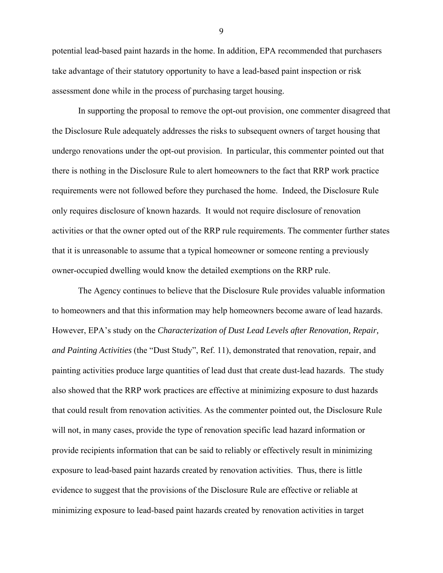potential lead-based paint hazards in the home. In addition, EPA recommended that purchasers take advantage of their statutory opportunity to have a lead-based paint inspection or risk assessment done while in the process of purchasing target housing.

In supporting the proposal to remove the opt-out provision, one commenter disagreed that the Disclosure Rule adequately addresses the risks to subsequent owners of target housing that undergo renovations under the opt-out provision. In particular, this commenter pointed out that there is nothing in the Disclosure Rule to alert homeowners to the fact that RRP work practice requirements were not followed before they purchased the home. Indeed, the Disclosure Rule only requires disclosure of known hazards. It would not require disclosure of renovation activities or that the owner opted out of the RRP rule requirements. The commenter further states that it is unreasonable to assume that a typical homeowner or someone renting a previously owner-occupied dwelling would know the detailed exemptions on the RRP rule.

The Agency continues to believe that the Disclosure Rule provides valuable information to homeowners and that this information may help homeowners become aware of lead hazards. However, EPA's study on the *Characterization of Dust Lead Levels after Renovation, Repair, and Painting Activities* (the "Dust Study", Ref. 11), demonstrated that renovation, repair, and painting activities produce large quantities of lead dust that create dust-lead hazards. The study also showed that the RRP work practices are effective at minimizing exposure to dust hazards that could result from renovation activities. As the commenter pointed out, the Disclosure Rule will not, in many cases, provide the type of renovation specific lead hazard information or provide recipients information that can be said to reliably or effectively result in minimizing exposure to lead-based paint hazards created by renovation activities. Thus, there is little evidence to suggest that the provisions of the Disclosure Rule are effective or reliable at minimizing exposure to lead-based paint hazards created by renovation activities in target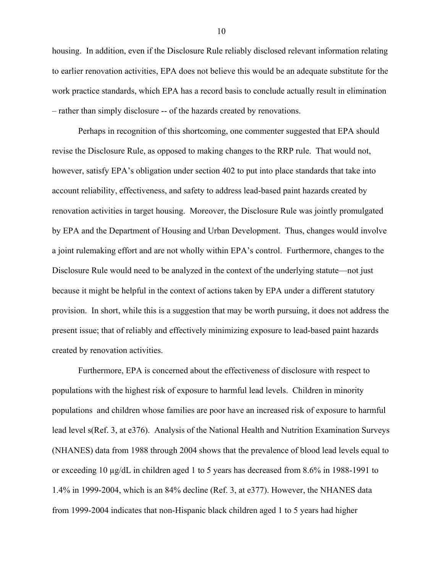housing. In addition, even if the Disclosure Rule reliably disclosed relevant information relating to earlier renovation activities, EPA does not believe this would be an adequate substitute for the work practice standards, which EPA has a record basis to conclude actually result in elimination – rather than simply disclosure -- of the hazards created by renovations.

Perhaps in recognition of this shortcoming, one commenter suggested that EPA should revise the Disclosure Rule, as opposed to making changes to the RRP rule. That would not, however, satisfy EPA's obligation under section 402 to put into place standards that take into account reliability, effectiveness, and safety to address lead-based paint hazards created by renovation activities in target housing. Moreover, the Disclosure Rule was jointly promulgated by EPA and the Department of Housing and Urban Development. Thus, changes would involve a joint rulemaking effort and are not wholly within EPA's control. Furthermore, changes to the Disclosure Rule would need to be analyzed in the context of the underlying statute—not just because it might be helpful in the context of actions taken by EPA under a different statutory provision. In short, while this is a suggestion that may be worth pursuing, it does not address the present issue; that of reliably and effectively minimizing exposure to lead-based paint hazards created by renovation activities.

 Furthermore, EPA is concerned about the effectiveness of disclosure with respect to populations with the highest risk of exposure to harmful lead levels. Children in minority populations and children whose families are poor have an increased risk of exposure to harmful lead level s(Ref. 3, at e376). Analysis of the National Health and Nutrition Examination Surveys (NHANES) data from 1988 through 2004 shows that the prevalence of blood lead levels equal to or exceeding 10 µg/dL in children aged 1 to 5 years has decreased from 8.6% in 1988-1991 to 1.4% in 1999-2004, which is an 84% decline (Ref. 3, at e377). However, the NHANES data from 1999-2004 indicates that non-Hispanic black children aged 1 to 5 years had higher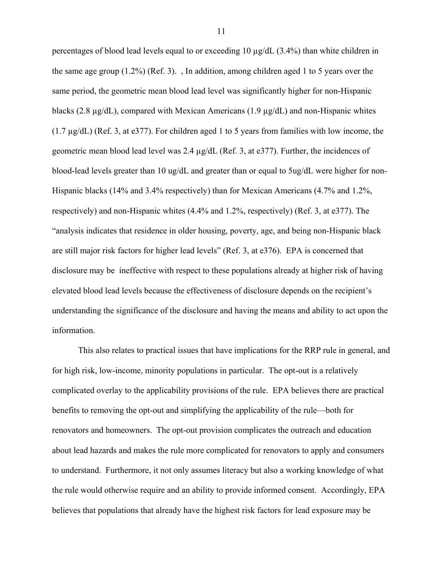percentages of blood lead levels equal to or exceeding 10 µg/dL (3.4%) than white children in the same age group (1.2%) (Ref. 3). , In addition, among children aged 1 to 5 years over the same period, the geometric mean blood lead level was significantly higher for non-Hispanic blacks (2.8  $\mu$ g/dL), compared with Mexican Americans (1.9  $\mu$ g/dL) and non-Hispanic whites (1.7 µg/dL) (Ref. 3, at e377). For children aged 1 to 5 years from families with low income, the geometric mean blood lead level was 2.4 µg/dL (Ref. 3, at e377). Further, the incidences of blood-lead levels greater than 10 ug/dL and greater than or equal to 5ug/dL were higher for non-Hispanic blacks (14% and 3.4% respectively) than for Mexican Americans (4.7% and 1.2%, respectively) and non-Hispanic whites (4.4% and 1.2%, respectively) (Ref. 3, at e377). The "analysis indicates that residence in older housing, poverty, age, and being non-Hispanic black are still major risk factors for higher lead levels" (Ref. 3, at e376). EPA is concerned that disclosure may be ineffective with respect to these populations already at higher risk of having elevated blood lead levels because the effectiveness of disclosure depends on the recipient's understanding the significance of the disclosure and having the means and ability to act upon the information.

 This also relates to practical issues that have implications for the RRP rule in general, and for high risk, low-income, minority populations in particular. The opt-out is a relatively complicated overlay to the applicability provisions of the rule. EPA believes there are practical benefits to removing the opt-out and simplifying the applicability of the rule—both for renovators and homeowners. The opt-out provision complicates the outreach and education about lead hazards and makes the rule more complicated for renovators to apply and consumers to understand. Furthermore, it not only assumes literacy but also a working knowledge of what the rule would otherwise require and an ability to provide informed consent. Accordingly, EPA believes that populations that already have the highest risk factors for lead exposure may be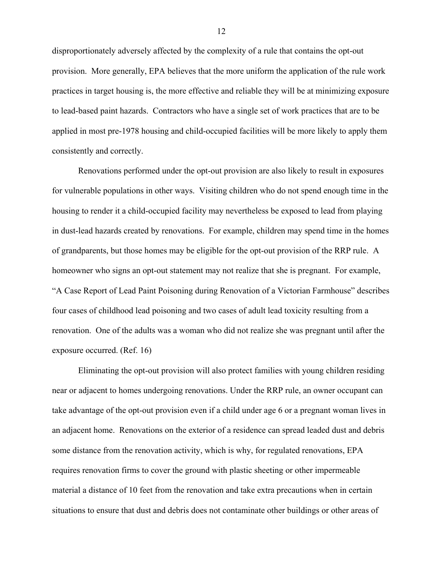disproportionately adversely affected by the complexity of a rule that contains the opt-out provision. More generally, EPA believes that the more uniform the application of the rule work practices in target housing is, the more effective and reliable they will be at minimizing exposure to lead-based paint hazards. Contractors who have a single set of work practices that are to be applied in most pre-1978 housing and child-occupied facilities will be more likely to apply them consistently and correctly.

Renovations performed under the opt-out provision are also likely to result in exposures for vulnerable populations in other ways. Visiting children who do not spend enough time in the housing to render it a child-occupied facility may nevertheless be exposed to lead from playing in dust-lead hazards created by renovations. For example, children may spend time in the homes of grandparents, but those homes may be eligible for the opt-out provision of the RRP rule. A homeowner who signs an opt-out statement may not realize that she is pregnant. For example, "A Case Report of Lead Paint Poisoning during Renovation of a Victorian Farmhouse" describes four cases of childhood lead poisoning and two cases of adult lead toxicity resulting from a renovation. One of the adults was a woman who did not realize she was pregnant until after the exposure occurred. (Ref. 16)

Eliminating the opt-out provision will also protect families with young children residing near or adjacent to homes undergoing renovations. Under the RRP rule, an owner occupant can take advantage of the opt-out provision even if a child under age 6 or a pregnant woman lives in an adjacent home. Renovations on the exterior of a residence can spread leaded dust and debris some distance from the renovation activity, which is why, for regulated renovations, EPA requires renovation firms to cover the ground with plastic sheeting or other impermeable material a distance of 10 feet from the renovation and take extra precautions when in certain situations to ensure that dust and debris does not contaminate other buildings or other areas of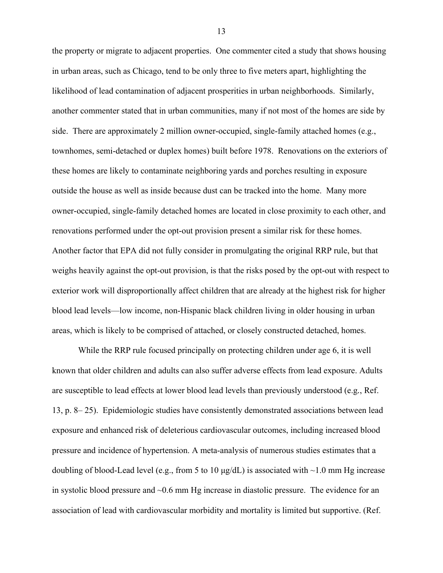the property or migrate to adjacent properties. One commenter cited a study that shows housing in urban areas, such as Chicago, tend to be only three to five meters apart, highlighting the likelihood of lead contamination of adjacent prosperities in urban neighborhoods. Similarly, another commenter stated that in urban communities, many if not most of the homes are side by side. There are approximately 2 million owner-occupied, single-family attached homes (e.g., townhomes, semi-detached or duplex homes) built before 1978. Renovations on the exteriors of these homes are likely to contaminate neighboring yards and porches resulting in exposure outside the house as well as inside because dust can be tracked into the home. Many more owner-occupied, single-family detached homes are located in close proximity to each other, and renovations performed under the opt-out provision present a similar risk for these homes. Another factor that EPA did not fully consider in promulgating the original RRP rule, but that weighs heavily against the opt-out provision, is that the risks posed by the opt-out with respect to exterior work will disproportionally affect children that are already at the highest risk for higher blood lead levels—low income, non-Hispanic black children living in older housing in urban areas, which is likely to be comprised of attached, or closely constructed detached, homes.

While the RRP rule focused principally on protecting children under age 6, it is well known that older children and adults can also suffer adverse effects from lead exposure. Adults are susceptible to lead effects at lower blood lead levels than previously understood (e.g*.*, Ref. 13, p. 8– 25). Epidemiologic studies have consistently demonstrated associations between lead exposure and enhanced risk of deleterious cardiovascular outcomes, including increased blood pressure and incidence of hypertension. A meta-analysis of numerous studies estimates that a doubling of blood-Lead level (e.g., from 5 to 10  $\mu$ g/dL) is associated with ~1.0 mm Hg increase in systolic blood pressure and ~0.6 mm Hg increase in diastolic pressure. The evidence for an association of lead with cardiovascular morbidity and mortality is limited but supportive. (Ref.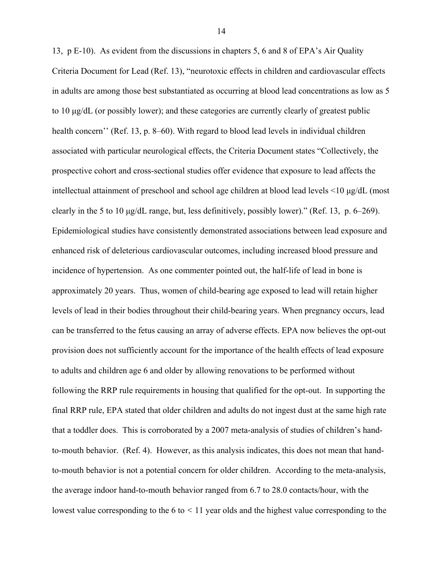13, p E-10). As evident from the discussions in chapters 5, 6 and 8 of EPA's Air Quality Criteria Document for Lead (Ref. 13), "neurotoxic effects in children and cardiovascular effects in adults are among those best substantiated as occurring at blood lead concentrations as low as 5 to 10 μg/dL (or possibly lower); and these categories are currently clearly of greatest public health concern'' (Ref. 13, p. 8–60). With regard to blood lead levels in individual children associated with particular neurological effects, the Criteria Document states "Collectively, the prospective cohort and cross-sectional studies offer evidence that exposure to lead affects the intellectual attainment of preschool and school age children at blood lead levels <10 μg/dL (most clearly in the 5 to 10 μg/dL range, but, less definitively, possibly lower)." (Ref. 13, p. 6–269). Epidemiological studies have consistently demonstrated associations between lead exposure and enhanced risk of deleterious cardiovascular outcomes, including increased blood pressure and incidence of hypertension. As one commenter pointed out, the half-life of lead in bone is approximately 20 years. Thus, women of child-bearing age exposed to lead will retain higher levels of lead in their bodies throughout their child-bearing years. When pregnancy occurs, lead can be transferred to the fetus causing an array of adverse effects. EPA now believes the opt-out provision does not sufficiently account for the importance of the health effects of lead exposure to adults and children age 6 and older by allowing renovations to be performed without following the RRP rule requirements in housing that qualified for the opt-out. In supporting the final RRP rule, EPA stated that older children and adults do not ingest dust at the same high rate that a toddler does. This is corroborated by a 2007 meta-analysis of studies of children's handto-mouth behavior. (Ref. 4). However, as this analysis indicates, this does not mean that handto-mouth behavior is not a potential concern for older children. According to the meta-analysis, the average indoor hand-to-mouth behavior ranged from 6.7 to 28.0 contacts/hour, with the lowest value corresponding to the 6 to *<* 11 year olds and the highest value corresponding to the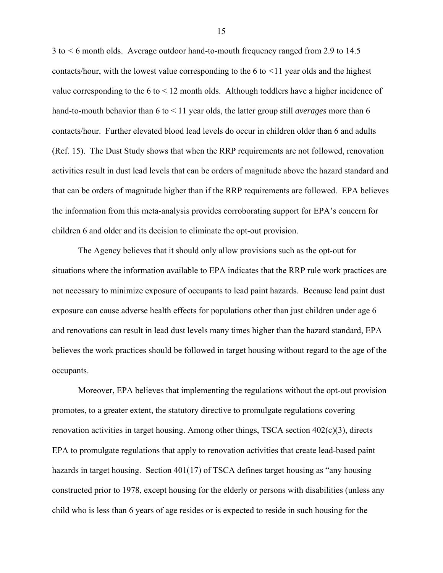3 to *<* 6 month olds. Average outdoor hand-to-mouth frequency ranged from 2.9 to 14.5 contacts/hour, with the lowest value corresponding to the 6 to *<*11 year olds and the highest value corresponding to the  $6$  to  $\leq 12$  month olds. Although toddlers have a higher incidence of hand-to-mouth behavior than 6 to < 11 year olds, the latter group still *averages* more than 6 contacts/hour. Further elevated blood lead levels do occur in children older than 6 and adults (Ref. 15). The Dust Study shows that when the RRP requirements are not followed, renovation activities result in dust lead levels that can be orders of magnitude above the hazard standard and that can be orders of magnitude higher than if the RRP requirements are followed. EPA believes the information from this meta-analysis provides corroborating support for EPA's concern for children 6 and older and its decision to eliminate the opt-out provision.

The Agency believes that it should only allow provisions such as the opt-out for situations where the information available to EPA indicates that the RRP rule work practices are not necessary to minimize exposure of occupants to lead paint hazards. Because lead paint dust exposure can cause adverse health effects for populations other than just children under age 6 and renovations can result in lead dust levels many times higher than the hazard standard, EPA believes the work practices should be followed in target housing without regard to the age of the occupants.

 Moreover, EPA believes that implementing the regulations without the opt-out provision promotes, to a greater extent, the statutory directive to promulgate regulations covering renovation activities in target housing. Among other things, TSCA section 402(c)(3), directs EPA to promulgate regulations that apply to renovation activities that create lead-based paint hazards in target housing. Section 401(17) of TSCA defines target housing as "any housing constructed prior to 1978, except housing for the elderly or persons with disabilities (unless any child who is less than 6 years of age resides or is expected to reside in such housing for the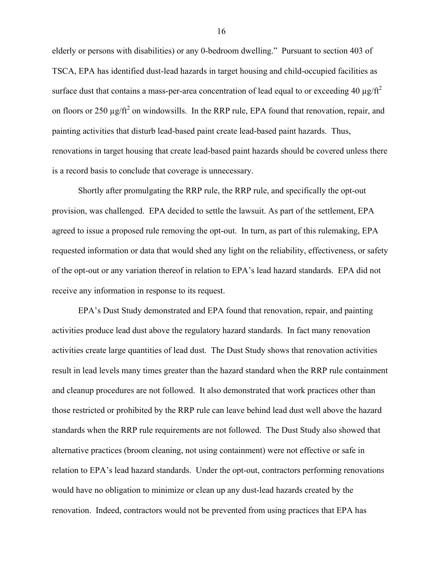elderly or persons with disabilities) or any 0-bedroom dwelling." Pursuant to section 403 of TSCA, EPA has identified dust-lead hazards in target housing and child-occupied facilities as surface dust that contains a mass-per-area concentration of lead equal to or exceeding 40  $\mu$ g/ft<sup>2</sup> on floors or 250  $\mu$ g/ft<sup>2</sup> on windowsills. In the RRP rule, EPA found that renovation, repair, and painting activities that disturb lead-based paint create lead-based paint hazards. Thus, renovations in target housing that create lead-based paint hazards should be covered unless there is a record basis to conclude that coverage is unnecessary.

Shortly after promulgating the RRP rule, the RRP rule, and specifically the opt-out provision, was challenged. EPA decided to settle the lawsuit. As part of the settlement, EPA agreed to issue a proposed rule removing the opt-out. In turn, as part of this rulemaking, EPA requested information or data that would shed any light on the reliability, effectiveness, or safety of the opt-out or any variation thereof in relation to EPA's lead hazard standards. EPA did not receive any information in response to its request.

EPA's Dust Study demonstrated and EPA found that renovation, repair, and painting activities produce lead dust above the regulatory hazard standards. In fact many renovation activities create large quantities of lead dust. The Dust Study shows that renovation activities result in lead levels many times greater than the hazard standard when the RRP rule containment and cleanup procedures are not followed. It also demonstrated that work practices other than those restricted or prohibited by the RRP rule can leave behind lead dust well above the hazard standards when the RRP rule requirements are not followed. The Dust Study also showed that alternative practices (broom cleaning, not using containment) were not effective or safe in relation to EPA's lead hazard standards. Under the opt-out, contractors performing renovations would have no obligation to minimize or clean up any dust-lead hazards created by the renovation. Indeed, contractors would not be prevented from using practices that EPA has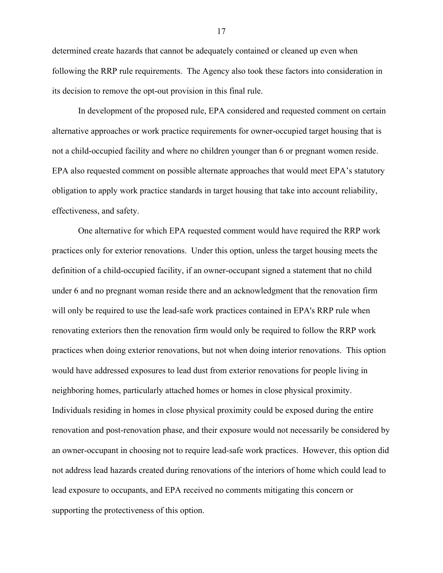determined create hazards that cannot be adequately contained or cleaned up even when following the RRP rule requirements. The Agency also took these factors into consideration in its decision to remove the opt-out provision in this final rule.

 In development of the proposed rule, EPA considered and requested comment on certain alternative approaches or work practice requirements for owner-occupied target housing that is not a child-occupied facility and where no children younger than 6 or pregnant women reside. EPA also requested comment on possible alternate approaches that would meet EPA's statutory obligation to apply work practice standards in target housing that take into account reliability, effectiveness, and safety.

One alternative for which EPA requested comment would have required the RRP work practices only for exterior renovations. Under this option, unless the target housing meets the definition of a child-occupied facility, if an owner-occupant signed a statement that no child under 6 and no pregnant woman reside there and an acknowledgment that the renovation firm will only be required to use the lead-safe work practices contained in EPA's RRP rule when renovating exteriors then the renovation firm would only be required to follow the RRP work practices when doing exterior renovations, but not when doing interior renovations. This option would have addressed exposures to lead dust from exterior renovations for people living in neighboring homes, particularly attached homes or homes in close physical proximity. Individuals residing in homes in close physical proximity could be exposed during the entire renovation and post-renovation phase, and their exposure would not necessarily be considered by an owner-occupant in choosing not to require lead-safe work practices. However, this option did not address lead hazards created during renovations of the interiors of home which could lead to lead exposure to occupants, and EPA received no comments mitigating this concern or supporting the protectiveness of this option.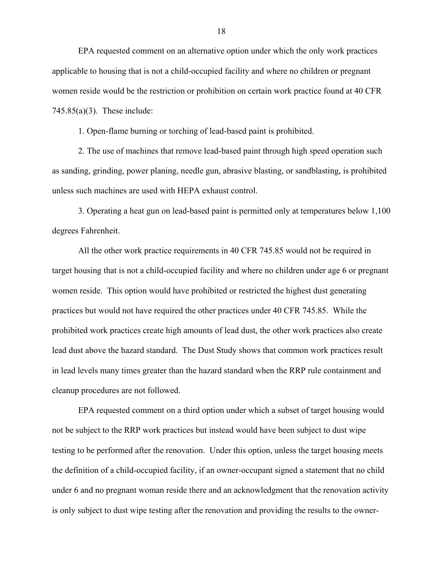EPA requested comment on an alternative option under which the only work practices applicable to housing that is not a child-occupied facility and where no children or pregnant women reside would be the restriction or prohibition on certain work practice found at 40 CFR 745.85(a)(3). These include:

1. Open-flame burning or torching of lead-based paint is prohibited.

 2. The use of machines that remove lead-based paint through high speed operation such as sanding, grinding, power planing, needle gun, abrasive blasting, or sandblasting, is prohibited unless such machines are used with HEPA exhaust control.

 3. Operating a heat gun on lead-based paint is permitted only at temperatures below 1,100 degrees Fahrenheit.

All the other work practice requirements in 40 CFR 745.85 would not be required in target housing that is not a child-occupied facility and where no children under age 6 or pregnant women reside. This option would have prohibited or restricted the highest dust generating practices but would not have required the other practices under 40 CFR 745.85. While the prohibited work practices create high amounts of lead dust, the other work practices also create lead dust above the hazard standard. The Dust Study shows that common work practices result in lead levels many times greater than the hazard standard when the RRP rule containment and cleanup procedures are not followed.

EPA requested comment on a third option under which a subset of target housing would not be subject to the RRP work practices but instead would have been subject to dust wipe testing to be performed after the renovation. Under this option, unless the target housing meets the definition of a child-occupied facility, if an owner-occupant signed a statement that no child under 6 and no pregnant woman reside there and an acknowledgment that the renovation activity is only subject to dust wipe testing after the renovation and providing the results to the owner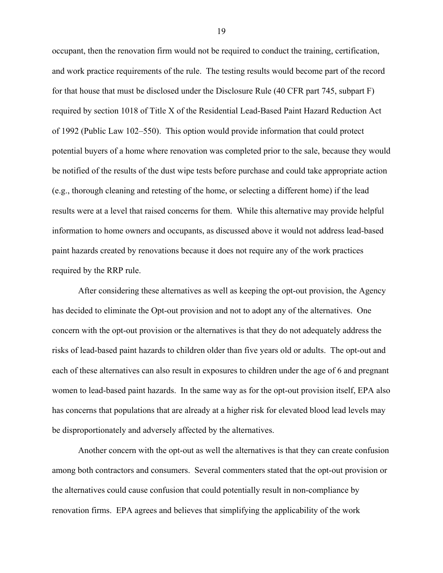occupant, then the renovation firm would not be required to conduct the training, certification, and work practice requirements of the rule. The testing results would become part of the record for that house that must be disclosed under the Disclosure Rule (40 CFR part 745, subpart F) required by section 1018 of Title X of the Residential Lead-Based Paint Hazard Reduction Act of 1992 (Public Law 102–550). This option would provide information that could protect potential buyers of a home where renovation was completed prior to the sale, because they would be notified of the results of the dust wipe tests before purchase and could take appropriate action (e.g., thorough cleaning and retesting of the home, or selecting a different home) if the lead results were at a level that raised concerns for them. While this alternative may provide helpful information to home owners and occupants, as discussed above it would not address lead-based paint hazards created by renovations because it does not require any of the work practices required by the RRP rule.

After considering these alternatives as well as keeping the opt-out provision, the Agency has decided to eliminate the Opt-out provision and not to adopt any of the alternatives. One concern with the opt-out provision or the alternatives is that they do not adequately address the risks of lead-based paint hazards to children older than five years old or adults. The opt-out and each of these alternatives can also result in exposures to children under the age of 6 and pregnant women to lead-based paint hazards. In the same way as for the opt-out provision itself, EPA also has concerns that populations that are already at a higher risk for elevated blood lead levels may be disproportionately and adversely affected by the alternatives.

Another concern with the opt-out as well the alternatives is that they can create confusion among both contractors and consumers. Several commenters stated that the opt-out provision or the alternatives could cause confusion that could potentially result in non-compliance by renovation firms. EPA agrees and believes that simplifying the applicability of the work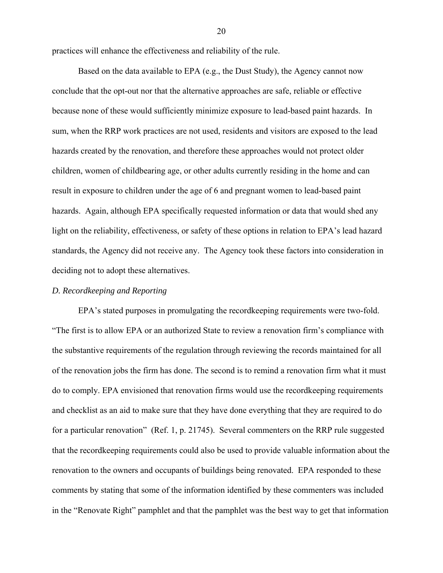practices will enhance the effectiveness and reliability of the rule.

Based on the data available to EPA (e.g., the Dust Study), the Agency cannot now conclude that the opt-out nor that the alternative approaches are safe, reliable or effective because none of these would sufficiently minimize exposure to lead-based paint hazards. In sum, when the RRP work practices are not used, residents and visitors are exposed to the lead hazards created by the renovation, and therefore these approaches would not protect older children, women of childbearing age, or other adults currently residing in the home and can result in exposure to children under the age of 6 and pregnant women to lead-based paint hazards. Again, although EPA specifically requested information or data that would shed any light on the reliability, effectiveness, or safety of these options in relation to EPA's lead hazard standards, the Agency did not receive any. The Agency took these factors into consideration in deciding not to adopt these alternatives.

## *D. Recordkeeping and Reporting*

 EPA's stated purposes in promulgating the recordkeeping requirements were two-fold. "The first is to allow EPA or an authorized State to review a renovation firm's compliance with the substantive requirements of the regulation through reviewing the records maintained for all of the renovation jobs the firm has done. The second is to remind a renovation firm what it must do to comply. EPA envisioned that renovation firms would use the recordkeeping requirements and checklist as an aid to make sure that they have done everything that they are required to do for a particular renovation" (Ref. 1, p. 21745). Several commenters on the RRP rule suggested that the recordkeeping requirements could also be used to provide valuable information about the renovation to the owners and occupants of buildings being renovated. EPA responded to these comments by stating that some of the information identified by these commenters was included in the "Renovate Right" pamphlet and that the pamphlet was the best way to get that information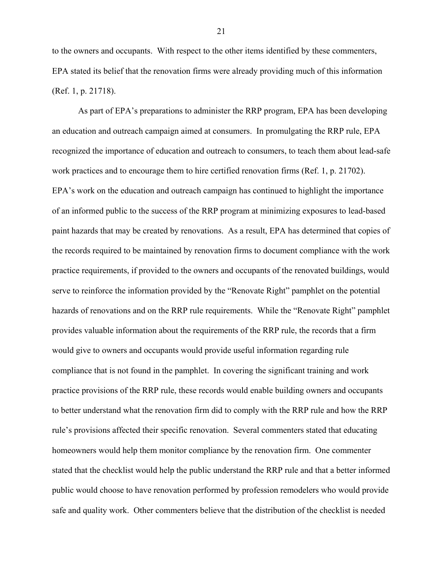to the owners and occupants. With respect to the other items identified by these commenters, EPA stated its belief that the renovation firms were already providing much of this information (Ref. 1, p. 21718).

 As part of EPA's preparations to administer the RRP program, EPA has been developing an education and outreach campaign aimed at consumers. In promulgating the RRP rule, EPA recognized the importance of education and outreach to consumers, to teach them about lead-safe work practices and to encourage them to hire certified renovation firms (Ref. 1, p. 21702). EPA's work on the education and outreach campaign has continued to highlight the importance of an informed public to the success of the RRP program at minimizing exposures to lead-based paint hazards that may be created by renovations. As a result, EPA has determined that copies of the records required to be maintained by renovation firms to document compliance with the work practice requirements, if provided to the owners and occupants of the renovated buildings, would serve to reinforce the information provided by the "Renovate Right" pamphlet on the potential hazards of renovations and on the RRP rule requirements. While the "Renovate Right" pamphlet provides valuable information about the requirements of the RRP rule, the records that a firm would give to owners and occupants would provide useful information regarding rule compliance that is not found in the pamphlet. In covering the significant training and work practice provisions of the RRP rule, these records would enable building owners and occupants to better understand what the renovation firm did to comply with the RRP rule and how the RRP rule's provisions affected their specific renovation. Several commenters stated that educating homeowners would help them monitor compliance by the renovation firm. One commenter stated that the checklist would help the public understand the RRP rule and that a better informed public would choose to have renovation performed by profession remodelers who would provide safe and quality work. Other commenters believe that the distribution of the checklist is needed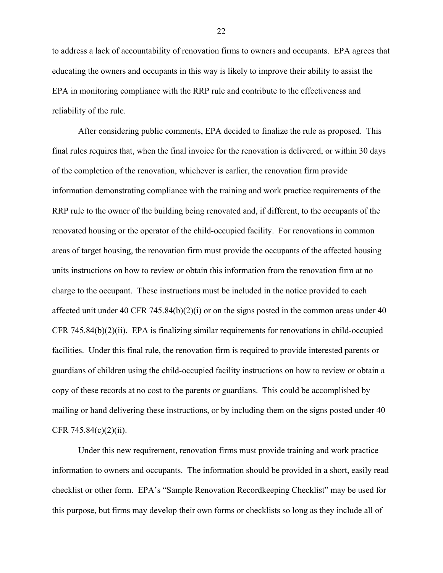to address a lack of accountability of renovation firms to owners and occupants. EPA agrees that educating the owners and occupants in this way is likely to improve their ability to assist the EPA in monitoring compliance with the RRP rule and contribute to the effectiveness and reliability of the rule.

 After considering public comments, EPA decided to finalize the rule as proposed. This final rules requires that, when the final invoice for the renovation is delivered, or within 30 days of the completion of the renovation, whichever is earlier, the renovation firm provide information demonstrating compliance with the training and work practice requirements of the RRP rule to the owner of the building being renovated and, if different, to the occupants of the renovated housing or the operator of the child-occupied facility. For renovations in common areas of target housing, the renovation firm must provide the occupants of the affected housing units instructions on how to review or obtain this information from the renovation firm at no charge to the occupant. These instructions must be included in the notice provided to each affected unit under 40 CFR 745.84(b)(2)(i) or on the signs posted in the common areas under 40 CFR 745.84(b)(2)(ii). EPA is finalizing similar requirements for renovations in child-occupied facilities. Under this final rule, the renovation firm is required to provide interested parents or guardians of children using the child-occupied facility instructions on how to review or obtain a copy of these records at no cost to the parents or guardians. This could be accomplished by mailing or hand delivering these instructions, or by including them on the signs posted under 40 CFR 745.84(c)(2)(ii).

 Under this new requirement, renovation firms must provide training and work practice information to owners and occupants. The information should be provided in a short, easily read checklist or other form. EPA's "Sample Renovation Recordkeeping Checklist" may be used for this purpose, but firms may develop their own forms or checklists so long as they include all of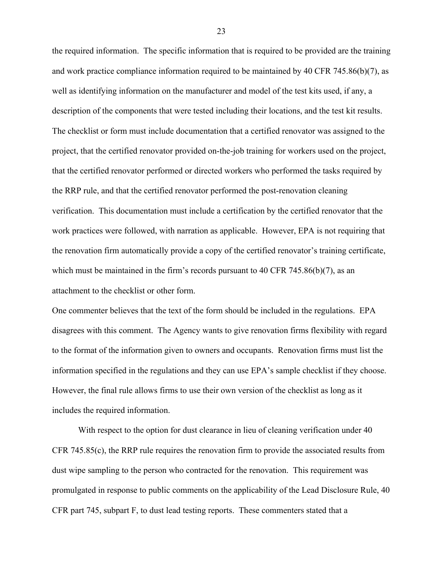the required information. The specific information that is required to be provided are the training and work practice compliance information required to be maintained by 40 CFR 745.86(b)(7), as well as identifying information on the manufacturer and model of the test kits used, if any, a description of the components that were tested including their locations, and the test kit results. The checklist or form must include documentation that a certified renovator was assigned to the project, that the certified renovator provided on-the-job training for workers used on the project, that the certified renovator performed or directed workers who performed the tasks required by the RRP rule, and that the certified renovator performed the post-renovation cleaning verification. This documentation must include a certification by the certified renovator that the work practices were followed, with narration as applicable. However, EPA is not requiring that the renovation firm automatically provide a copy of the certified renovator's training certificate, which must be maintained in the firm's records pursuant to 40 CFR 745.86(b)(7), as an attachment to the checklist or other form.

One commenter believes that the text of the form should be included in the regulations. EPA disagrees with this comment. The Agency wants to give renovation firms flexibility with regard to the format of the information given to owners and occupants. Renovation firms must list the information specified in the regulations and they can use EPA's sample checklist if they choose. However, the final rule allows firms to use their own version of the checklist as long as it includes the required information.

With respect to the option for dust clearance in lieu of cleaning verification under 40 CFR 745.85(c), the RRP rule requires the renovation firm to provide the associated results from dust wipe sampling to the person who contracted for the renovation. This requirement was promulgated in response to public comments on the applicability of the Lead Disclosure Rule, 40 CFR part 745, subpart F, to dust lead testing reports. These commenters stated that a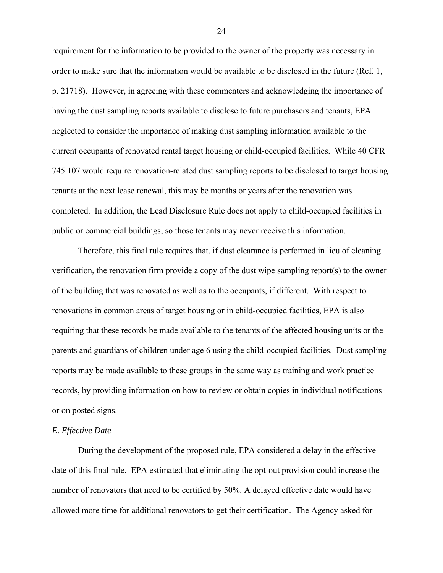requirement for the information to be provided to the owner of the property was necessary in order to make sure that the information would be available to be disclosed in the future (Ref. 1, p. 21718). However, in agreeing with these commenters and acknowledging the importance of having the dust sampling reports available to disclose to future purchasers and tenants, EPA neglected to consider the importance of making dust sampling information available to the current occupants of renovated rental target housing or child-occupied facilities. While 40 CFR 745.107 would require renovation-related dust sampling reports to be disclosed to target housing tenants at the next lease renewal, this may be months or years after the renovation was completed. In addition, the Lead Disclosure Rule does not apply to child-occupied facilities in public or commercial buildings, so those tenants may never receive this information.

 Therefore, this final rule requires that, if dust clearance is performed in lieu of cleaning verification, the renovation firm provide a copy of the dust wipe sampling report(s) to the owner of the building that was renovated as well as to the occupants, if different. With respect to renovations in common areas of target housing or in child-occupied facilities, EPA is also requiring that these records be made available to the tenants of the affected housing units or the parents and guardians of children under age 6 using the child-occupied facilities. Dust sampling reports may be made available to these groups in the same way as training and work practice records, by providing information on how to review or obtain copies in individual notifications or on posted signs.

## *E. Effective Date*

 During the development of the proposed rule, EPA considered a delay in the effective date of this final rule. EPA estimated that eliminating the opt-out provision could increase the number of renovators that need to be certified by 50%. A delayed effective date would have allowed more time for additional renovators to get their certification. The Agency asked for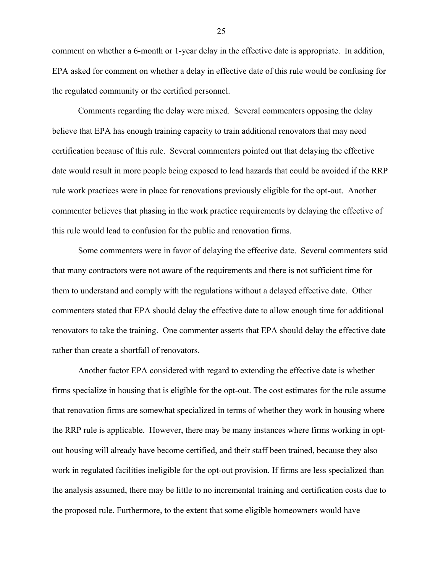comment on whether a 6-month or 1-year delay in the effective date is appropriate. In addition, EPA asked for comment on whether a delay in effective date of this rule would be confusing for the regulated community or the certified personnel.

Comments regarding the delay were mixed. Several commenters opposing the delay believe that EPA has enough training capacity to train additional renovators that may need certification because of this rule. Several commenters pointed out that delaying the effective date would result in more people being exposed to lead hazards that could be avoided if the RRP rule work practices were in place for renovations previously eligible for the opt-out. Another commenter believes that phasing in the work practice requirements by delaying the effective of this rule would lead to confusion for the public and renovation firms.

Some commenters were in favor of delaying the effective date. Several commenters said that many contractors were not aware of the requirements and there is not sufficient time for them to understand and comply with the regulations without a delayed effective date. Other commenters stated that EPA should delay the effective date to allow enough time for additional renovators to take the training. One commenter asserts that EPA should delay the effective date rather than create a shortfall of renovators.

Another factor EPA considered with regard to extending the effective date is whether firms specialize in housing that is eligible for the opt-out. The cost estimates for the rule assume that renovation firms are somewhat specialized in terms of whether they work in housing where the RRP rule is applicable. However, there may be many instances where firms working in optout housing will already have become certified, and their staff been trained, because they also work in regulated facilities ineligible for the opt-out provision. If firms are less specialized than the analysis assumed, there may be little to no incremental training and certification costs due to the proposed rule. Furthermore, to the extent that some eligible homeowners would have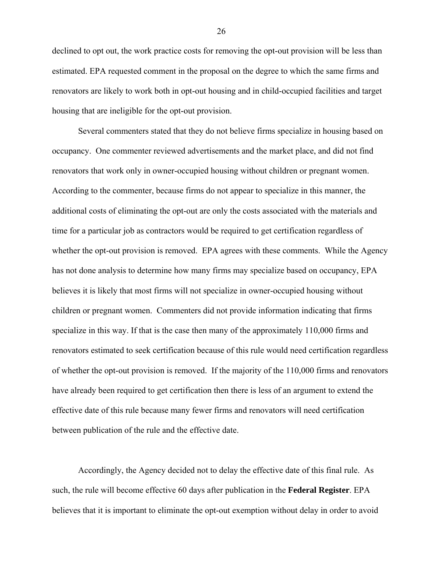declined to opt out, the work practice costs for removing the opt-out provision will be less than estimated. EPA requested comment in the proposal on the degree to which the same firms and renovators are likely to work both in opt-out housing and in child-occupied facilities and target housing that are ineligible for the opt-out provision.

Several commenters stated that they do not believe firms specialize in housing based on occupancy. One commenter reviewed advertisements and the market place, and did not find renovators that work only in owner-occupied housing without children or pregnant women. According to the commenter, because firms do not appear to specialize in this manner, the additional costs of eliminating the opt-out are only the costs associated with the materials and time for a particular job as contractors would be required to get certification regardless of whether the opt-out provision is removed. EPA agrees with these comments. While the Agency has not done analysis to determine how many firms may specialize based on occupancy, EPA believes it is likely that most firms will not specialize in owner-occupied housing without children or pregnant women. Commenters did not provide information indicating that firms specialize in this way. If that is the case then many of the approximately 110,000 firms and renovators estimated to seek certification because of this rule would need certification regardless of whether the opt-out provision is removed. If the majority of the 110,000 firms and renovators have already been required to get certification then there is less of an argument to extend the effective date of this rule because many fewer firms and renovators will need certification between publication of the rule and the effective date.

Accordingly, the Agency decided not to delay the effective date of this final rule. As such, the rule will become effective 60 days after publication in the **Federal Register**. EPA believes that it is important to eliminate the opt-out exemption without delay in order to avoid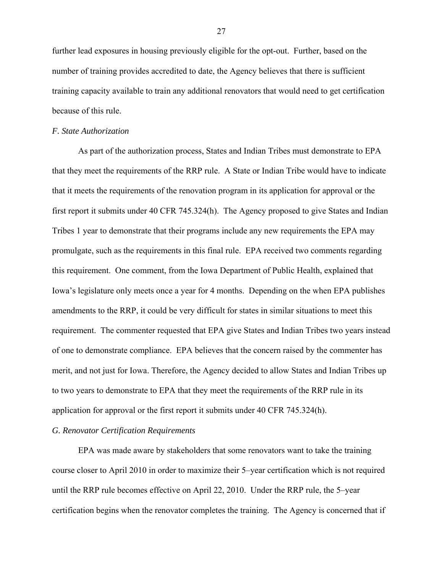further lead exposures in housing previously eligible for the opt-out. Further, based on the number of training provides accredited to date, the Agency believes that there is sufficient training capacity available to train any additional renovators that would need to get certification because of this rule.

#### *F. State Authorization*

 As part of the authorization process, States and Indian Tribes must demonstrate to EPA that they meet the requirements of the RRP rule. A State or Indian Tribe would have to indicate that it meets the requirements of the renovation program in its application for approval or the first report it submits under 40 CFR 745.324(h). The Agency proposed to give States and Indian Tribes 1 year to demonstrate that their programs include any new requirements the EPA may promulgate, such as the requirements in this final rule. EPA received two comments regarding this requirement. One comment, from the Iowa Department of Public Health, explained that Iowa's legislature only meets once a year for 4 months. Depending on the when EPA publishes amendments to the RRP, it could be very difficult for states in similar situations to meet this requirement. The commenter requested that EPA give States and Indian Tribes two years instead of one to demonstrate compliance. EPA believes that the concern raised by the commenter has merit, and not just for Iowa. Therefore, the Agency decided to allow States and Indian Tribes up to two years to demonstrate to EPA that they meet the requirements of the RRP rule in its application for approval or the first report it submits under 40 CFR 745.324(h).

#### *G. Renovator Certification Requirements*

 EPA was made aware by stakeholders that some renovators want to take the training course closer to April 2010 in order to maximize their 5–year certification which is not required until the RRP rule becomes effective on April 22, 2010. Under the RRP rule, the 5–year certification begins when the renovator completes the training. The Agency is concerned that if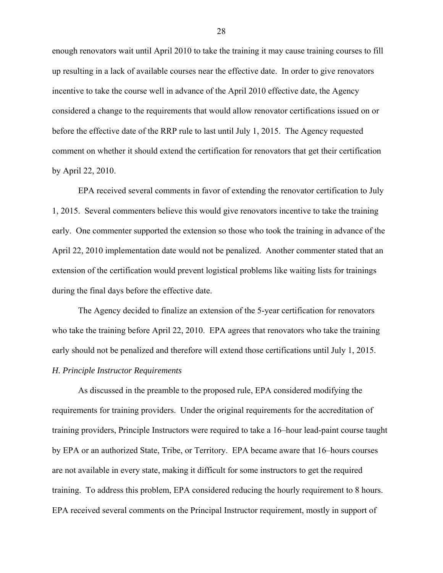enough renovators wait until April 2010 to take the training it may cause training courses to fill up resulting in a lack of available courses near the effective date. In order to give renovators incentive to take the course well in advance of the April 2010 effective date, the Agency considered a change to the requirements that would allow renovator certifications issued on or before the effective date of the RRP rule to last until July 1, 2015. The Agency requested comment on whether it should extend the certification for renovators that get their certification by April 22, 2010.

EPA received several comments in favor of extending the renovator certification to July 1, 2015. Several commenters believe this would give renovators incentive to take the training early. One commenter supported the extension so those who took the training in advance of the April 22, 2010 implementation date would not be penalized. Another commenter stated that an extension of the certification would prevent logistical problems like waiting lists for trainings during the final days before the effective date.

The Agency decided to finalize an extension of the 5-year certification for renovators who take the training before April 22, 2010. EPA agrees that renovators who take the training early should not be penalized and therefore will extend those certifications until July 1, 2015.

## *H. Principle Instructor Requirements*

 As discussed in the preamble to the proposed rule, EPA considered modifying the requirements for training providers. Under the original requirements for the accreditation of training providers, Principle Instructors were required to take a 16–hour lead-paint course taught by EPA or an authorized State, Tribe, or Territory. EPA became aware that 16–hours courses are not available in every state, making it difficult for some instructors to get the required training. To address this problem, EPA considered reducing the hourly requirement to 8 hours. EPA received several comments on the Principal Instructor requirement, mostly in support of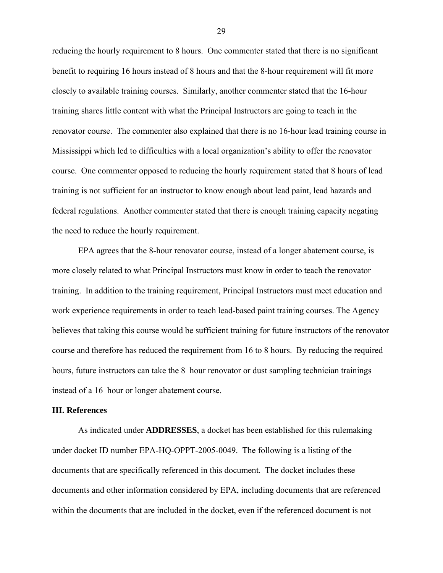reducing the hourly requirement to 8 hours. One commenter stated that there is no significant benefit to requiring 16 hours instead of 8 hours and that the 8-hour requirement will fit more closely to available training courses. Similarly, another commenter stated that the 16-hour training shares little content with what the Principal Instructors are going to teach in the renovator course. The commenter also explained that there is no 16-hour lead training course in Mississippi which led to difficulties with a local organization's ability to offer the renovator course. One commenter opposed to reducing the hourly requirement stated that 8 hours of lead training is not sufficient for an instructor to know enough about lead paint, lead hazards and federal regulations. Another commenter stated that there is enough training capacity negating the need to reduce the hourly requirement.

EPA agrees that the 8-hour renovator course, instead of a longer abatement course, is more closely related to what Principal Instructors must know in order to teach the renovator training. In addition to the training requirement, Principal Instructors must meet education and work experience requirements in order to teach lead-based paint training courses. The Agency believes that taking this course would be sufficient training for future instructors of the renovator course and therefore has reduced the requirement from 16 to 8 hours. By reducing the required hours, future instructors can take the 8–hour renovator or dust sampling technician trainings instead of a 16–hour or longer abatement course.

## **III. References**

As indicated under **ADDRESSES**, a docket has been established for this rulemaking under docket ID number EPA-HQ-OPPT-2005-0049. The following is a listing of the documents that are specifically referenced in this document. The docket includes these documents and other information considered by EPA, including documents that are referenced within the documents that are included in the docket, even if the referenced document is not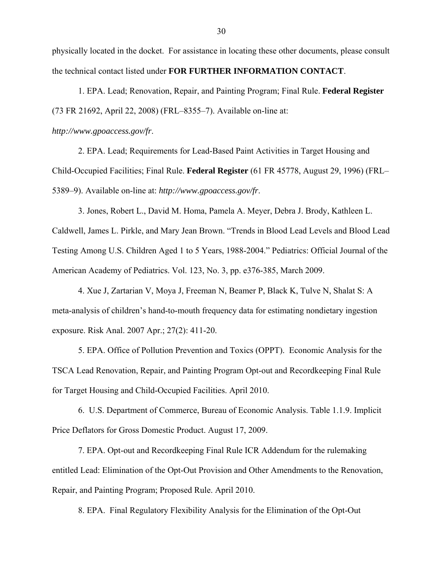physically located in the docket. For assistance in locating these other documents, please consult the technical contact listed under **FOR FURTHER INFORMATION CONTACT**.

 1. EPA. Lead; Renovation, Repair, and Painting Program; Final Rule. **Federal Register** (73 FR 21692, April 22, 2008) (FRL–8355–7). Available on-line at:

*http://www.gpoaccess.gov/fr*.

 2. EPA. Lead; Requirements for Lead-Based Paint Activities in Target Housing and Child-Occupied Facilities; Final Rule. **Federal Register** (61 FR 45778, August 29, 1996) (FRL– 5389–9). Available on-line at: *http://www.gpoaccess.gov/fr*.

 3. Jones, Robert L., David M. Homa, Pamela A. Meyer, Debra J. Brody, Kathleen L. Caldwell, James L. Pirkle, and Mary Jean Brown. "Trends in Blood Lead Levels and Blood Lead Testing Among U.S. Children Aged 1 to 5 Years, 1988-2004." Pediatrics: Official Journal of the American Academy of Pediatrics. Vol. 123, No. 3, pp. e376-385, March 2009.

 4. Xue J, Zartarian V, Moya J, Freeman N, Beamer P, Black K, Tulve N, Shalat S: A meta-analysis of children's hand-to-mouth frequency data for estimating nondietary ingestion exposure. Risk Anal. 2007 Apr.; 27(2): 411-20.

 5. EPA. Office of Pollution Prevention and Toxics (OPPT). Economic Analysis for the TSCA Lead Renovation, Repair, and Painting Program Opt-out and Recordkeeping Final Rule for Target Housing and Child-Occupied Facilities. April 2010.

 6. U.S. Department of Commerce, Bureau of Economic Analysis. Table 1.1.9. Implicit Price Deflators for Gross Domestic Product. August 17, 2009.

 7. EPA. Opt-out and Recordkeeping Final Rule ICR Addendum for the rulemaking entitled Lead: Elimination of the Opt-Out Provision and Other Amendments to the Renovation, Repair, and Painting Program; Proposed Rule. April 2010.

8. EPA. Final Regulatory Flexibility Analysis for the Elimination of the Opt-Out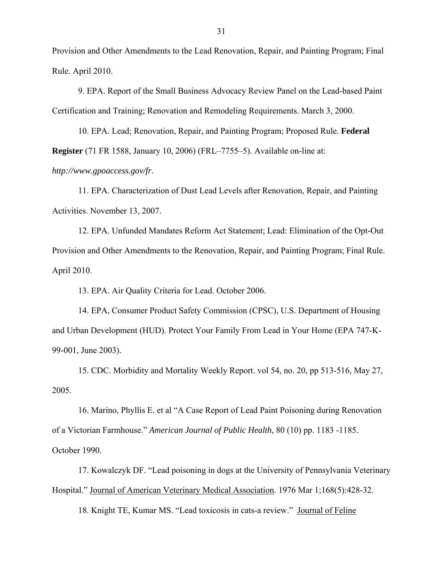Provision and Other Amendments to the Lead Renovation, Repair, and Painting Program; Final Rule. April 2010.

 9. EPA. Report of the Small Business Advocacy Review Panel on the Lead-based Paint Certification and Training; Renovation and Remodeling Requirements. March 3, 2000.

 10. EPA. Lead; Renovation, Repair, and Painting Program; Proposed Rule. **Federal Register** (71 FR 1588, January 10, 2006) (FRL–7755–5). Available on-line at:

*http://www.gpoaccess.gov/fr*.

 11. EPA. Characterization of Dust Lead Levels after Renovation, Repair, and Painting Activities. November 13, 2007.

 12. EPA. Unfunded Mandates Reform Act Statement; Lead: Elimination of the Opt-Out Provision and Other Amendments to the Renovation, Repair, and Painting Program; Final Rule. April 2010.

13. EPA. Air Quality Criteria for Lead. October 2006.

 14. EPA, Consumer Product Safety Commission (CPSC), U.S. Department of Housing and Urban Development (HUD). Protect Your Family From Lead in Your Home (EPA 747-K-99-001, June 2003).

 15. CDC. Morbidity and Mortality Weekly Report. vol 54, no. 20, pp 513-516, May 27, 2005.

 16. Marino, Phyllis E. et al "A Case Report of Lead Paint Poisoning during Renovation of a Victorian Farmhouse." *American Journal of Public Health*, 80 (10) pp. 1183 -1185. October 1990.

17. Kowalczyk DF. "Lead poisoning in dogs at the University of Pennsylvania Veterinary Hospital." Journal of American Veterinary Medical Association. 1976 Mar 1;168(5):428-32.

18. Knight TE, Kumar MS. "Lead toxicosis in cats-a review." Journal of Feline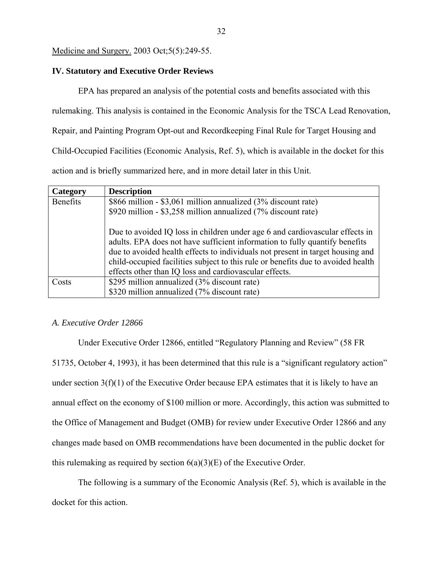## Medicine and Surgery. 2003 Oct;5(5):249-55.

## **IV. Statutory and Executive Order Reviews**

EPA has prepared an analysis of the potential costs and benefits associated with this

rulemaking. This analysis is contained in the Economic Analysis for the TSCA Lead Renovation,

Repair, and Painting Program Opt-out and Recordkeeping Final Rule for Target Housing and

Child-Occupied Facilities (Economic Analysis, Ref. 5), which is available in the docket for this

action and is briefly summarized here, and in more detail later in this Unit.

| Category        | <b>Description</b>                                                               |
|-----------------|----------------------------------------------------------------------------------|
| <b>Benefits</b> | \$866 million - \$3,061 million annualized (3% discount rate)                    |
|                 | \$920 million - \$3,258 million annualized (7% discount rate)                    |
|                 |                                                                                  |
|                 | Due to avoided IQ loss in children under age 6 and cardiovascular effects in     |
|                 | adults. EPA does not have sufficient information to fully quantify benefits      |
|                 | due to avoided health effects to individuals not present in target housing and   |
|                 | child-occupied facilities subject to this rule or benefits due to avoided health |
|                 | effects other than IQ loss and cardiovascular effects.                           |
| Costs           | \$295 million annualized (3% discount rate)                                      |
|                 | \$320 million annualized (7% discount rate)                                      |

## *A. Executive Order 12866*

 Under Executive Order 12866, entitled "Regulatory Planning and Review" (58 FR 51735, October 4, 1993), it has been determined that this rule is a "significant regulatory action" under section  $3(f)(1)$  of the Executive Order because EPA estimates that it is likely to have an annual effect on the economy of \$100 million or more. Accordingly, this action was submitted to the Office of Management and Budget (OMB) for review under Executive Order 12866 and any changes made based on OMB recommendations have been documented in the public docket for this rulemaking as required by section  $6(a)(3)(E)$  of the Executive Order.

 The following is a summary of the Economic Analysis (Ref. 5), which is available in the docket for this action.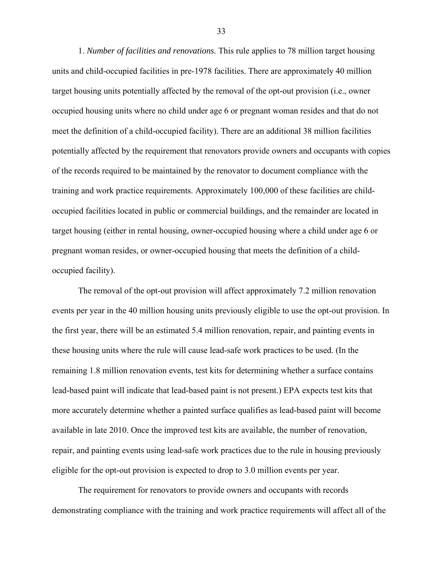1. *Number of facilities and renovations*. This rule applies to 78 million target housing units and child-occupied facilities in pre-1978 facilities. There are approximately 40 million target housing units potentially affected by the removal of the opt-out provision (i.e., owner occupied housing units where no child under age 6 or pregnant woman resides and that do not meet the definition of a child-occupied facility). There are an additional 38 million facilities potentially affected by the requirement that renovators provide owners and occupants with copies of the records required to be maintained by the renovator to document compliance with the training and work practice requirements. Approximately 100,000 of these facilities are childoccupied facilities located in public or commercial buildings, and the remainder are located in target housing (either in rental housing, owner-occupied housing where a child under age 6 or pregnant woman resides, or owner-occupied housing that meets the definition of a childoccupied facility).

 The removal of the opt-out provision will affect approximately 7.2 million renovation events per year in the 40 million housing units previously eligible to use the opt-out provision. In the first year, there will be an estimated 5.4 million renovation, repair, and painting events in these housing units where the rule will cause lead-safe work practices to be used. (In the remaining 1.8 million renovation events, test kits for determining whether a surface contains lead-based paint will indicate that lead-based paint is not present.) EPA expects test kits that more accurately determine whether a painted surface qualifies as lead-based paint will become available in late 2010. Once the improved test kits are available, the number of renovation, repair, and painting events using lead-safe work practices due to the rule in housing previously eligible for the opt-out provision is expected to drop to 3.0 million events per year.

 The requirement for renovators to provide owners and occupants with records demonstrating compliance with the training and work practice requirements will affect all of the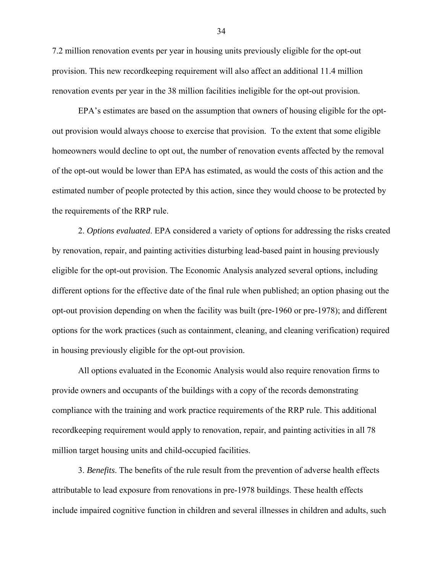7.2 million renovation events per year in housing units previously eligible for the opt-out provision. This new recordkeeping requirement will also affect an additional 11.4 million renovation events per year in the 38 million facilities ineligible for the opt-out provision.

 EPA's estimates are based on the assumption that owners of housing eligible for the optout provision would always choose to exercise that provision. To the extent that some eligible homeowners would decline to opt out, the number of renovation events affected by the removal of the opt-out would be lower than EPA has estimated, as would the costs of this action and the estimated number of people protected by this action, since they would choose to be protected by the requirements of the RRP rule.

 2. *Options evaluated*. EPA considered a variety of options for addressing the risks created by renovation, repair, and painting activities disturbing lead-based paint in housing previously eligible for the opt-out provision. The Economic Analysis analyzed several options, including different options for the effective date of the final rule when published; an option phasing out the opt-out provision depending on when the facility was built (pre-1960 or pre-1978); and different options for the work practices (such as containment, cleaning, and cleaning verification) required in housing previously eligible for the opt-out provision.

 All options evaluated in the Economic Analysis would also require renovation firms to provide owners and occupants of the buildings with a copy of the records demonstrating compliance with the training and work practice requirements of the RRP rule. This additional recordkeeping requirement would apply to renovation, repair, and painting activities in all 78 million target housing units and child-occupied facilities.

 3. *Benefits*. The benefits of the rule result from the prevention of adverse health effects attributable to lead exposure from renovations in pre-1978 buildings. These health effects include impaired cognitive function in children and several illnesses in children and adults, such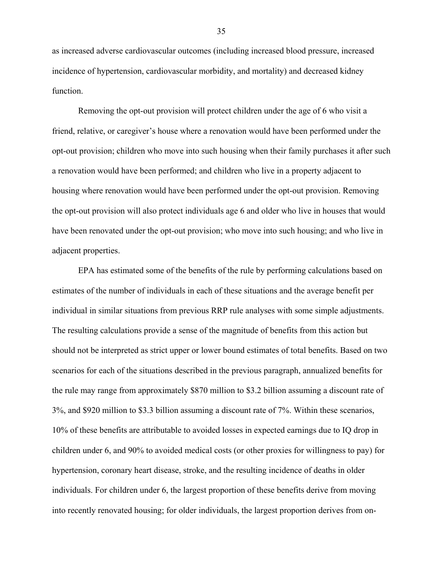as increased adverse cardiovascular outcomes (including increased blood pressure, increased incidence of hypertension, cardiovascular morbidity, and mortality) and decreased kidney function.

 Removing the opt-out provision will protect children under the age of 6 who visit a friend, relative, or caregiver's house where a renovation would have been performed under the opt-out provision; children who move into such housing when their family purchases it after such a renovation would have been performed; and children who live in a property adjacent to housing where renovation would have been performed under the opt-out provision. Removing the opt-out provision will also protect individuals age 6 and older who live in houses that would have been renovated under the opt-out provision; who move into such housing; and who live in adjacent properties.

 EPA has estimated some of the benefits of the rule by performing calculations based on estimates of the number of individuals in each of these situations and the average benefit per individual in similar situations from previous RRP rule analyses with some simple adjustments. The resulting calculations provide a sense of the magnitude of benefits from this action but should not be interpreted as strict upper or lower bound estimates of total benefits. Based on two scenarios for each of the situations described in the previous paragraph, annualized benefits for the rule may range from approximately \$870 million to \$3.2 billion assuming a discount rate of 3%, and \$920 million to \$3.3 billion assuming a discount rate of 7%. Within these scenarios, 10% of these benefits are attributable to avoided losses in expected earnings due to IQ drop in children under 6, and 90% to avoided medical costs (or other proxies for willingness to pay) for hypertension, coronary heart disease, stroke, and the resulting incidence of deaths in older individuals. For children under 6, the largest proportion of these benefits derive from moving into recently renovated housing; for older individuals, the largest proportion derives from on-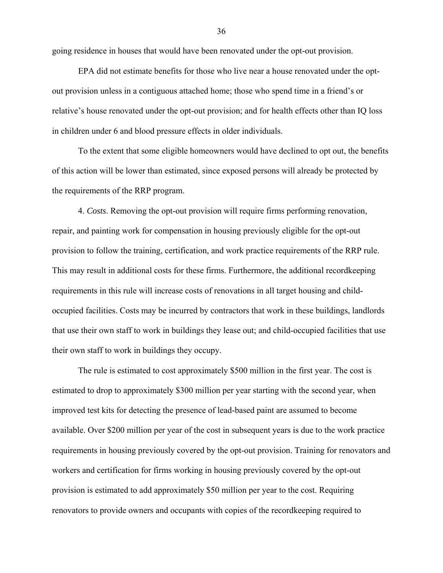going residence in houses that would have been renovated under the opt-out provision.

 EPA did not estimate benefits for those who live near a house renovated under the optout provision unless in a contiguous attached home; those who spend time in a friend's or relative's house renovated under the opt-out provision; and for health effects other than IQ loss in children under 6 and blood pressure effects in older individuals.

 To the extent that some eligible homeowners would have declined to opt out, the benefits of this action will be lower than estimated, since exposed persons will already be protected by the requirements of the RRP program.

 4. *Costs*. Removing the opt-out provision will require firms performing renovation, repair, and painting work for compensation in housing previously eligible for the opt-out provision to follow the training, certification, and work practice requirements of the RRP rule. This may result in additional costs for these firms. Furthermore, the additional recordkeeping requirements in this rule will increase costs of renovations in all target housing and childoccupied facilities. Costs may be incurred by contractors that work in these buildings, landlords that use their own staff to work in buildings they lease out; and child-occupied facilities that use their own staff to work in buildings they occupy.

 The rule is estimated to cost approximately \$500 million in the first year. The cost is estimated to drop to approximately \$300 million per year starting with the second year, when improved test kits for detecting the presence of lead-based paint are assumed to become available. Over \$200 million per year of the cost in subsequent years is due to the work practice requirements in housing previously covered by the opt-out provision. Training for renovators and workers and certification for firms working in housing previously covered by the opt-out provision is estimated to add approximately \$50 million per year to the cost. Requiring renovators to provide owners and occupants with copies of the recordkeeping required to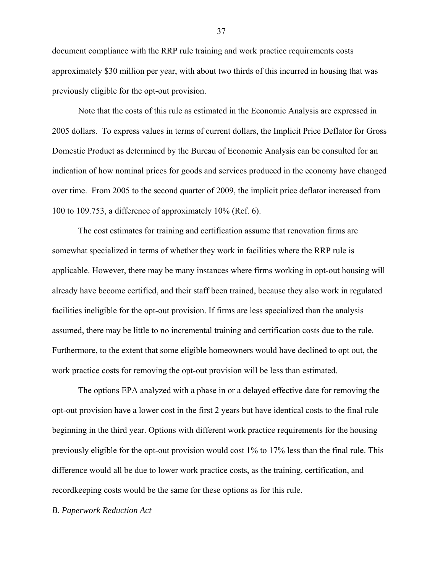document compliance with the RRP rule training and work practice requirements costs approximately \$30 million per year, with about two thirds of this incurred in housing that was previously eligible for the opt-out provision.

 Note that the costs of this rule as estimated in the Economic Analysis are expressed in 2005 dollars. To express values in terms of current dollars, the Implicit Price Deflator for Gross Domestic Product as determined by the Bureau of Economic Analysis can be consulted for an indication of how nominal prices for goods and services produced in the economy have changed over time. From 2005 to the second quarter of 2009, the implicit price deflator increased from 100 to 109.753, a difference of approximately 10% (Ref. 6).

 The cost estimates for training and certification assume that renovation firms are somewhat specialized in terms of whether they work in facilities where the RRP rule is applicable. However, there may be many instances where firms working in opt-out housing will already have become certified, and their staff been trained, because they also work in regulated facilities ineligible for the opt-out provision. If firms are less specialized than the analysis assumed, there may be little to no incremental training and certification costs due to the rule. Furthermore, to the extent that some eligible homeowners would have declined to opt out, the work practice costs for removing the opt-out provision will be less than estimated.

 The options EPA analyzed with a phase in or a delayed effective date for removing the opt-out provision have a lower cost in the first 2 years but have identical costs to the final rule beginning in the third year. Options with different work practice requirements for the housing previously eligible for the opt-out provision would cost 1% to 17% less than the final rule. This difference would all be due to lower work practice costs, as the training, certification, and recordkeeping costs would be the same for these options as for this rule.

## *B. Paperwork Reduction Act*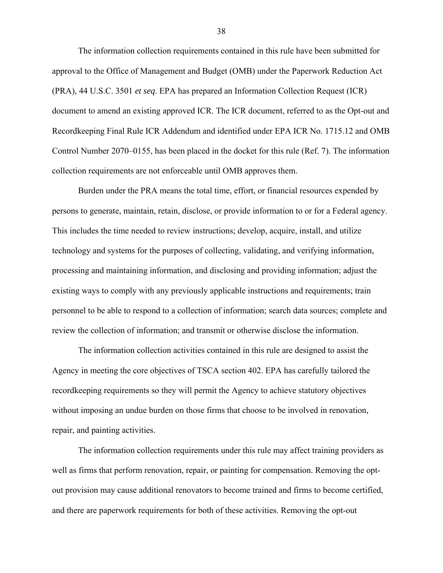The information collection requirements contained in this rule have been submitted for approval to the Office of Management and Budget (OMB) under the Paperwork Reduction Act (PRA), 44 U.S.C. 3501 *et seq*. EPA has prepared an Information Collection Request (ICR) document to amend an existing approved ICR. The ICR document, referred to as the Opt-out and Recordkeeping Final Rule ICR Addendum and identified under EPA ICR No. 1715.12 and OMB Control Number 2070–0155, has been placed in the docket for this rule (Ref. 7). The information collection requirements are not enforceable until OMB approves them.

 Burden under the PRA means the total time, effort, or financial resources expended by persons to generate, maintain, retain, disclose, or provide information to or for a Federal agency. This includes the time needed to review instructions; develop, acquire, install, and utilize technology and systems for the purposes of collecting, validating, and verifying information, processing and maintaining information, and disclosing and providing information; adjust the existing ways to comply with any previously applicable instructions and requirements; train personnel to be able to respond to a collection of information; search data sources; complete and review the collection of information; and transmit or otherwise disclose the information.

 The information collection activities contained in this rule are designed to assist the Agency in meeting the core objectives of TSCA section 402. EPA has carefully tailored the recordkeeping requirements so they will permit the Agency to achieve statutory objectives without imposing an undue burden on those firms that choose to be involved in renovation, repair, and painting activities.

 The information collection requirements under this rule may affect training providers as well as firms that perform renovation, repair, or painting for compensation. Removing the optout provision may cause additional renovators to become trained and firms to become certified, and there are paperwork requirements for both of these activities. Removing the opt-out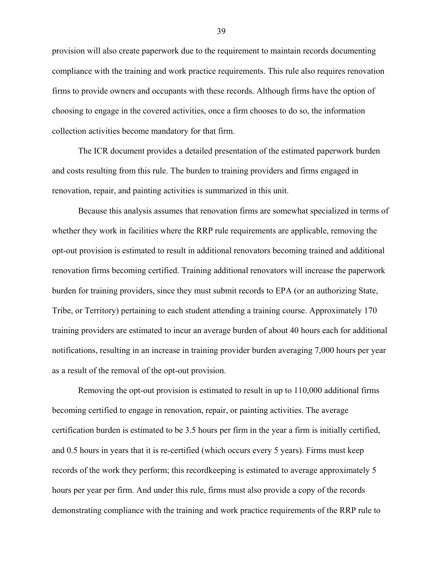provision will also create paperwork due to the requirement to maintain records documenting compliance with the training and work practice requirements. This rule also requires renovation firms to provide owners and occupants with these records. Although firms have the option of choosing to engage in the covered activities, once a firm chooses to do so, the information collection activities become mandatory for that firm.

 The ICR document provides a detailed presentation of the estimated paperwork burden and costs resulting from this rule. The burden to training providers and firms engaged in renovation, repair, and painting activities is summarized in this unit.

 Because this analysis assumes that renovation firms are somewhat specialized in terms of whether they work in facilities where the RRP rule requirements are applicable, removing the opt-out provision is estimated to result in additional renovators becoming trained and additional renovation firms becoming certified. Training additional renovators will increase the paperwork burden for training providers, since they must submit records to EPA (or an authorizing State, Tribe, or Territory) pertaining to each student attending a training course. Approximately 170 training providers are estimated to incur an average burden of about 40 hours each for additional notifications, resulting in an increase in training provider burden averaging 7,000 hours per year as a result of the removal of the opt-out provision.

 Removing the opt-out provision is estimated to result in up to 110,000 additional firms becoming certified to engage in renovation, repair, or painting activities. The average certification burden is estimated to be 3.5 hours per firm in the year a firm is initially certified, and 0.5 hours in years that it is re-certified (which occurs every 5 years). Firms must keep records of the work they perform; this recordkeeping is estimated to average approximately 5 hours per year per firm. And under this rule, firms must also provide a copy of the records demonstrating compliance with the training and work practice requirements of the RRP rule to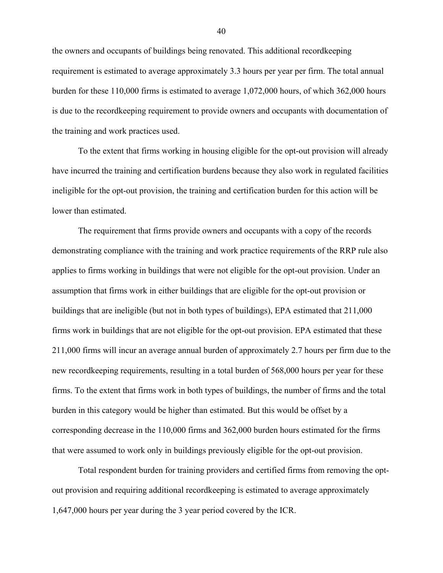the owners and occupants of buildings being renovated. This additional recordkeeping requirement is estimated to average approximately 3.3 hours per year per firm. The total annual burden for these 110,000 firms is estimated to average 1,072,000 hours, of which 362,000 hours is due to the recordkeeping requirement to provide owners and occupants with documentation of the training and work practices used.

 To the extent that firms working in housing eligible for the opt-out provision will already have incurred the training and certification burdens because they also work in regulated facilities ineligible for the opt-out provision, the training and certification burden for this action will be lower than estimated.

 The requirement that firms provide owners and occupants with a copy of the records demonstrating compliance with the training and work practice requirements of the RRP rule also applies to firms working in buildings that were not eligible for the opt-out provision. Under an assumption that firms work in either buildings that are eligible for the opt-out provision or buildings that are ineligible (but not in both types of buildings), EPA estimated that 211,000 firms work in buildings that are not eligible for the opt-out provision. EPA estimated that these 211,000 firms will incur an average annual burden of approximately 2.7 hours per firm due to the new recordkeeping requirements, resulting in a total burden of 568,000 hours per year for these firms. To the extent that firms work in both types of buildings, the number of firms and the total burden in this category would be higher than estimated. But this would be offset by a corresponding decrease in the 110,000 firms and 362,000 burden hours estimated for the firms that were assumed to work only in buildings previously eligible for the opt-out provision.

 Total respondent burden for training providers and certified firms from removing the optout provision and requiring additional recordkeeping is estimated to average approximately 1,647,000 hours per year during the 3 year period covered by the ICR.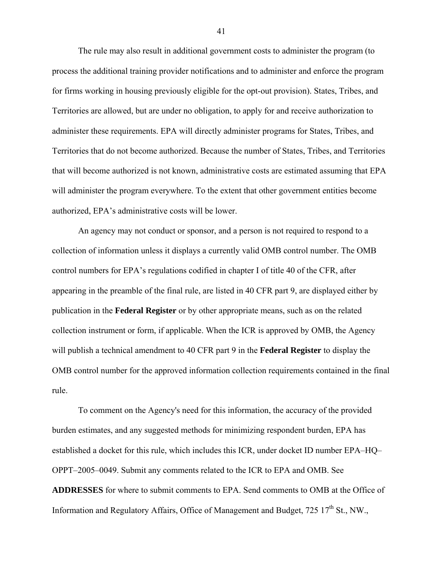The rule may also result in additional government costs to administer the program (to process the additional training provider notifications and to administer and enforce the program for firms working in housing previously eligible for the opt-out provision). States, Tribes, and Territories are allowed, but are under no obligation, to apply for and receive authorization to administer these requirements. EPA will directly administer programs for States, Tribes, and Territories that do not become authorized. Because the number of States, Tribes, and Territories that will become authorized is not known, administrative costs are estimated assuming that EPA will administer the program everywhere. To the extent that other government entities become authorized, EPA's administrative costs will be lower.

 An agency may not conduct or sponsor, and a person is not required to respond to a collection of information unless it displays a currently valid OMB control number. The OMB control numbers for EPA's regulations codified in chapter I of title 40 of the CFR, after appearing in the preamble of the final rule, are listed in 40 CFR part 9, are displayed either by publication in the **Federal Register** or by other appropriate means, such as on the related collection instrument or form, if applicable. When the ICR is approved by OMB, the Agency will publish a technical amendment to 40 CFR part 9 in the **Federal Register** to display the OMB control number for the approved information collection requirements contained in the final rule.

 To comment on the Agency's need for this information, the accuracy of the provided burden estimates, and any suggested methods for minimizing respondent burden, EPA has established a docket for this rule, which includes this ICR, under docket ID number EPA–HQ– OPPT–2005–0049. Submit any comments related to the ICR to EPA and OMB. See **ADDRESSES** for where to submit comments to EPA. Send comments to OMB at the Office of Information and Regulatory Affairs, Office of Management and Budget,  $725 \times 17^{th}$  St., NW.,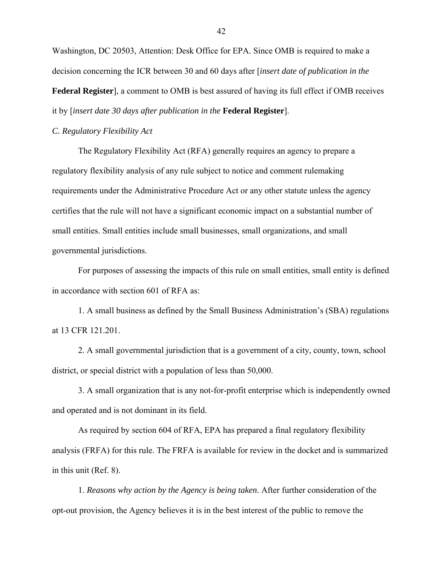Washington, DC 20503, Attention: Desk Office for EPA. Since OMB is required to make a decision concerning the ICR between 30 and 60 days after [*insert date of publication in the* **Federal Register**], a comment to OMB is best assured of having its full effect if OMB receives

it by [*insert date 30 days after publication in the* **Federal Register**].

#### *C. Regulatory Flexibility Act*

 The Regulatory Flexibility Act (RFA) generally requires an agency to prepare a regulatory flexibility analysis of any rule subject to notice and comment rulemaking requirements under the Administrative Procedure Act or any other statute unless the agency certifies that the rule will not have a significant economic impact on a substantial number of small entities. Small entities include small businesses, small organizations, and small governmental jurisdictions.

 For purposes of assessing the impacts of this rule on small entities, small entity is defined in accordance with section 601 of RFA as:

 1. A small business as defined by the Small Business Administration's (SBA) regulations at 13 CFR 121.201.

 2. A small governmental jurisdiction that is a government of a city, county, town, school district, or special district with a population of less than 50,000.

 3. A small organization that is any not-for-profit enterprise which is independently owned and operated and is not dominant in its field.

 As required by section 604 of RFA, EPA has prepared a final regulatory flexibility analysis (FRFA) for this rule. The FRFA is available for review in the docket and is summarized in this unit (Ref. 8).

 1. *Reasons why action by the Agency is being taken*. After further consideration of the opt-out provision, the Agency believes it is in the best interest of the public to remove the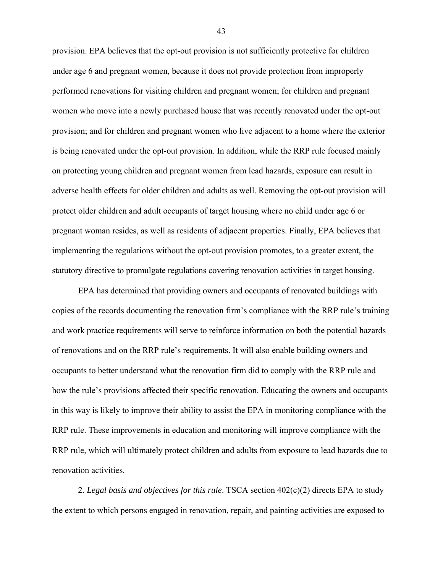provision. EPA believes that the opt-out provision is not sufficiently protective for children under age 6 and pregnant women, because it does not provide protection from improperly performed renovations for visiting children and pregnant women; for children and pregnant women who move into a newly purchased house that was recently renovated under the opt-out provision; and for children and pregnant women who live adjacent to a home where the exterior is being renovated under the opt-out provision. In addition, while the RRP rule focused mainly on protecting young children and pregnant women from lead hazards, exposure can result in adverse health effects for older children and adults as well. Removing the opt-out provision will protect older children and adult occupants of target housing where no child under age 6 or pregnant woman resides, as well as residents of adjacent properties. Finally, EPA believes that implementing the regulations without the opt-out provision promotes, to a greater extent, the statutory directive to promulgate regulations covering renovation activities in target housing.

 EPA has determined that providing owners and occupants of renovated buildings with copies of the records documenting the renovation firm's compliance with the RRP rule's training and work practice requirements will serve to reinforce information on both the potential hazards of renovations and on the RRP rule's requirements. It will also enable building owners and occupants to better understand what the renovation firm did to comply with the RRP rule and how the rule's provisions affected their specific renovation. Educating the owners and occupants in this way is likely to improve their ability to assist the EPA in monitoring compliance with the RRP rule. These improvements in education and monitoring will improve compliance with the RRP rule, which will ultimately protect children and adults from exposure to lead hazards due to renovation activities.

 2. *Legal basis and objectives for this rule*. TSCA section 402(c)(2) directs EPA to study the extent to which persons engaged in renovation, repair, and painting activities are exposed to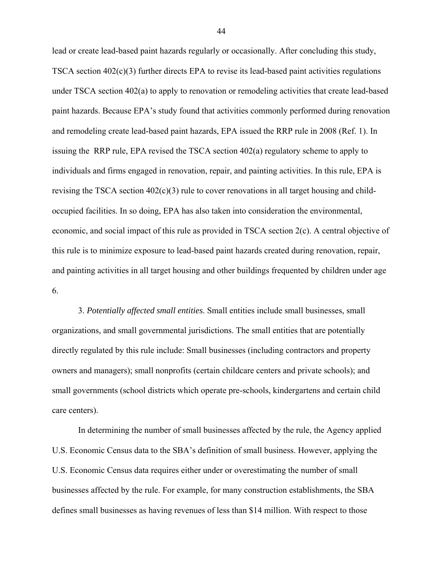lead or create lead-based paint hazards regularly or occasionally. After concluding this study, TSCA section 402(c)(3) further directs EPA to revise its lead-based paint activities regulations under TSCA section 402(a) to apply to renovation or remodeling activities that create lead-based paint hazards. Because EPA's study found that activities commonly performed during renovation and remodeling create lead-based paint hazards, EPA issued the RRP rule in 2008 (Ref. 1). In issuing the RRP rule, EPA revised the TSCA section 402(a) regulatory scheme to apply to individuals and firms engaged in renovation, repair, and painting activities. In this rule, EPA is revising the TSCA section 402(c)(3) rule to cover renovations in all target housing and childoccupied facilities. In so doing, EPA has also taken into consideration the environmental, economic, and social impact of this rule as provided in TSCA section 2(c). A central objective of this rule is to minimize exposure to lead-based paint hazards created during renovation, repair, and painting activities in all target housing and other buildings frequented by children under age 6.

 3. *Potentially affected small entities*. Small entities include small businesses, small organizations, and small governmental jurisdictions. The small entities that are potentially directly regulated by this rule include: Small businesses (including contractors and property owners and managers); small nonprofits (certain childcare centers and private schools); and small governments (school districts which operate pre-schools, kindergartens and certain child care centers).

 In determining the number of small businesses affected by the rule, the Agency applied U.S. Economic Census data to the SBA's definition of small business. However, applying the U.S. Economic Census data requires either under or overestimating the number of small businesses affected by the rule. For example, for many construction establishments, the SBA defines small businesses as having revenues of less than \$14 million. With respect to those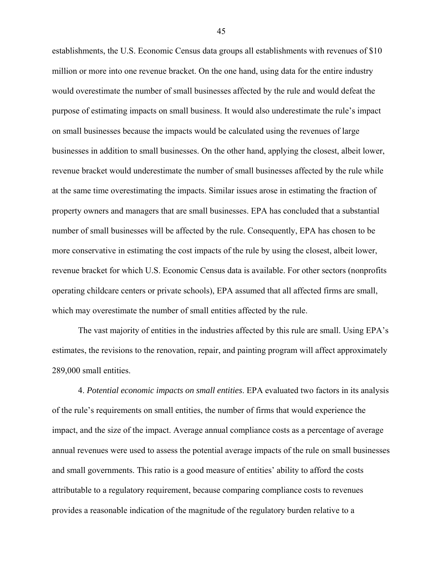establishments, the U.S. Economic Census data groups all establishments with revenues of \$10 million or more into one revenue bracket. On the one hand, using data for the entire industry would overestimate the number of small businesses affected by the rule and would defeat the purpose of estimating impacts on small business. It would also underestimate the rule's impact on small businesses because the impacts would be calculated using the revenues of large businesses in addition to small businesses. On the other hand, applying the closest, albeit lower, revenue bracket would underestimate the number of small businesses affected by the rule while at the same time overestimating the impacts. Similar issues arose in estimating the fraction of property owners and managers that are small businesses. EPA has concluded that a substantial number of small businesses will be affected by the rule. Consequently, EPA has chosen to be more conservative in estimating the cost impacts of the rule by using the closest, albeit lower, revenue bracket for which U.S. Economic Census data is available. For other sectors (nonprofits operating childcare centers or private schools), EPA assumed that all affected firms are small, which may overestimate the number of small entities affected by the rule.

 The vast majority of entities in the industries affected by this rule are small. Using EPA's estimates, the revisions to the renovation, repair, and painting program will affect approximately 289,000 small entities.

 4. *Potential economic impacts on small entities*. EPA evaluated two factors in its analysis of the rule's requirements on small entities, the number of firms that would experience the impact, and the size of the impact. Average annual compliance costs as a percentage of average annual revenues were used to assess the potential average impacts of the rule on small businesses and small governments. This ratio is a good measure of entities' ability to afford the costs attributable to a regulatory requirement, because comparing compliance costs to revenues provides a reasonable indication of the magnitude of the regulatory burden relative to a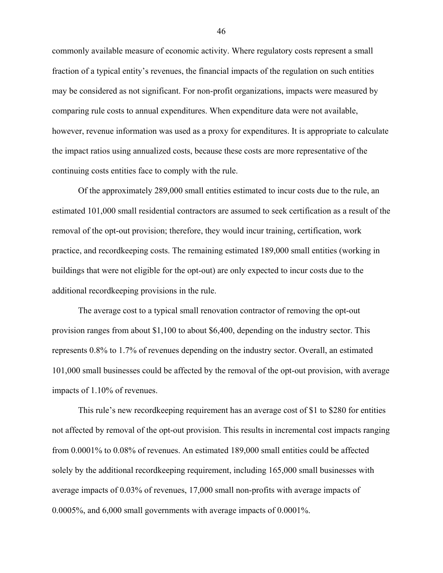commonly available measure of economic activity. Where regulatory costs represent a small fraction of a typical entity's revenues, the financial impacts of the regulation on such entities may be considered as not significant. For non-profit organizations, impacts were measured by comparing rule costs to annual expenditures. When expenditure data were not available, however, revenue information was used as a proxy for expenditures. It is appropriate to calculate the impact ratios using annualized costs, because these costs are more representative of the continuing costs entities face to comply with the rule.

 Of the approximately 289,000 small entities estimated to incur costs due to the rule, an estimated 101,000 small residential contractors are assumed to seek certification as a result of the removal of the opt-out provision; therefore, they would incur training, certification, work practice, and recordkeeping costs. The remaining estimated 189,000 small entities (working in buildings that were not eligible for the opt-out) are only expected to incur costs due to the additional recordkeeping provisions in the rule.

 The average cost to a typical small renovation contractor of removing the opt-out provision ranges from about \$1,100 to about \$6,400, depending on the industry sector. This represents 0.8% to 1.7% of revenues depending on the industry sector. Overall, an estimated 101,000 small businesses could be affected by the removal of the opt-out provision, with average impacts of 1.10% of revenues.

 This rule's new recordkeeping requirement has an average cost of \$1 to \$280 for entities not affected by removal of the opt-out provision. This results in incremental cost impacts ranging from 0.0001% to 0.08% of revenues. An estimated 189,000 small entities could be affected solely by the additional recordkeeping requirement, including 165,000 small businesses with average impacts of 0.03% of revenues, 17,000 small non-profits with average impacts of 0.0005%, and 6,000 small governments with average impacts of 0.0001%.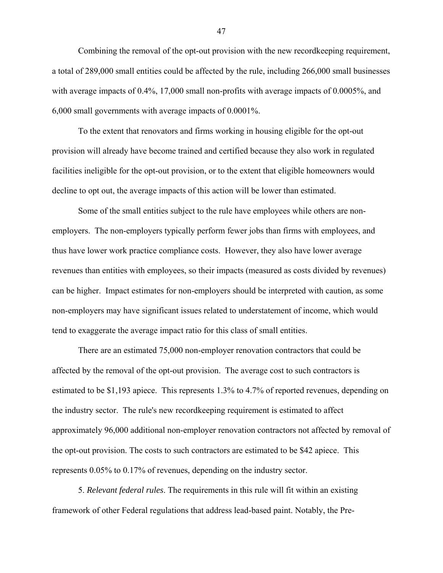Combining the removal of the opt-out provision with the new recordkeeping requirement, a total of 289,000 small entities could be affected by the rule, including 266,000 small businesses with average impacts of 0.4%, 17,000 small non-profits with average impacts of 0.0005%, and 6,000 small governments with average impacts of 0.0001%.

 To the extent that renovators and firms working in housing eligible for the opt-out provision will already have become trained and certified because they also work in regulated facilities ineligible for the opt-out provision, or to the extent that eligible homeowners would decline to opt out, the average impacts of this action will be lower than estimated.

 Some of the small entities subject to the rule have employees while others are nonemployers. The non-employers typically perform fewer jobs than firms with employees, and thus have lower work practice compliance costs. However, they also have lower average revenues than entities with employees, so their impacts (measured as costs divided by revenues) can be higher. Impact estimates for non-employers should be interpreted with caution, as some non-employers may have significant issues related to understatement of income, which would tend to exaggerate the average impact ratio for this class of small entities.

 There are an estimated 75,000 non-employer renovation contractors that could be affected by the removal of the opt-out provision. The average cost to such contractors is estimated to be \$1,193 apiece. This represents 1.3% to 4.7% of reported revenues, depending on the industry sector. The rule's new recordkeeping requirement is estimated to affect approximately 96,000 additional non-employer renovation contractors not affected by removal of the opt-out provision. The costs to such contractors are estimated to be \$42 apiece. This represents 0.05% to 0.17% of revenues, depending on the industry sector.

 5. *Relevant federal rules*. The requirements in this rule will fit within an existing framework of other Federal regulations that address lead-based paint. Notably, the Pre-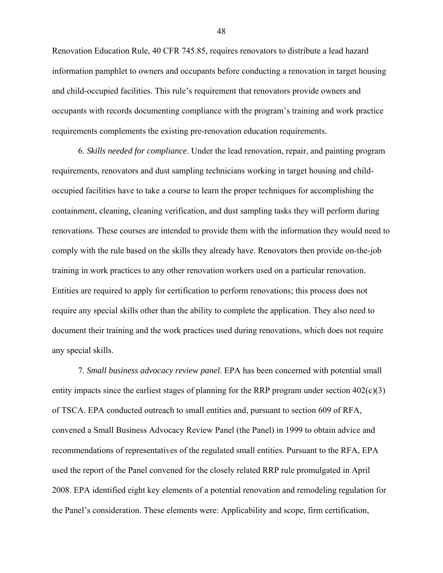Renovation Education Rule, 40 CFR 745.85, requires renovators to distribute a lead hazard information pamphlet to owners and occupants before conducting a renovation in target housing and child-occupied facilities. This rule's requirement that renovators provide owners and occupants with records documenting compliance with the program's training and work practice requirements complements the existing pre-renovation education requirements.

 6. *Skills needed for compliance*. Under the lead renovation, repair, and painting program requirements, renovators and dust sampling technicians working in target housing and childoccupied facilities have to take a course to learn the proper techniques for accomplishing the containment, cleaning, cleaning verification, and dust sampling tasks they will perform during renovations. These courses are intended to provide them with the information they would need to comply with the rule based on the skills they already have. Renovators then provide on-the-job training in work practices to any other renovation workers used on a particular renovation. Entities are required to apply for certification to perform renovations; this process does not require any special skills other than the ability to complete the application. They also need to document their training and the work practices used during renovations, which does not require any special skills.

 7. *Small business advocacy review panel*. EPA has been concerned with potential small entity impacts since the earliest stages of planning for the RRP program under section  $402(c)(3)$ of TSCA. EPA conducted outreach to small entities and, pursuant to section 609 of RFA, convened a Small Business Advocacy Review Panel (the Panel) in 1999 to obtain advice and recommendations of representatives of the regulated small entities. Pursuant to the RFA, EPA used the report of the Panel convened for the closely related RRP rule promulgated in April 2008. EPA identified eight key elements of a potential renovation and remodeling regulation for the Panel's consideration. These elements were: Applicability and scope, firm certification,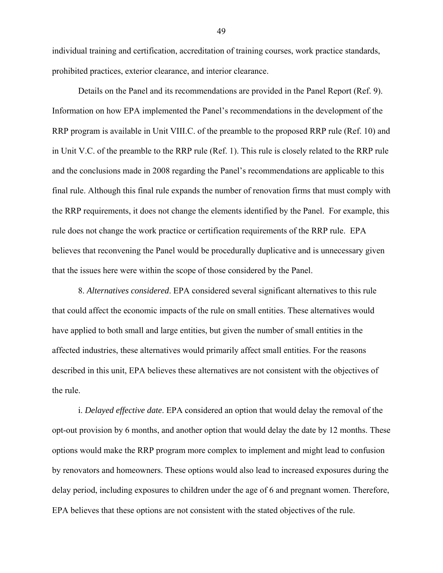individual training and certification, accreditation of training courses, work practice standards, prohibited practices, exterior clearance, and interior clearance.

 Details on the Panel and its recommendations are provided in the Panel Report (Ref. 9). Information on how EPA implemented the Panel's recommendations in the development of the RRP program is available in Unit VIII.C. of the preamble to the proposed RRP rule (Ref. 10) and in Unit V.C. of the preamble to the RRP rule (Ref. 1). This rule is closely related to the RRP rule and the conclusions made in 2008 regarding the Panel's recommendations are applicable to this final rule. Although this final rule expands the number of renovation firms that must comply with the RRP requirements, it does not change the elements identified by the Panel. For example, this rule does not change the work practice or certification requirements of the RRP rule. EPA believes that reconvening the Panel would be procedurally duplicative and is unnecessary given that the issues here were within the scope of those considered by the Panel.

 8. *Alternatives considered*. EPA considered several significant alternatives to this rule that could affect the economic impacts of the rule on small entities. These alternatives would have applied to both small and large entities, but given the number of small entities in the affected industries, these alternatives would primarily affect small entities. For the reasons described in this unit, EPA believes these alternatives are not consistent with the objectives of the rule.

 i. *Delayed effective date*. EPA considered an option that would delay the removal of the opt-out provision by 6 months, and another option that would delay the date by 12 months. These options would make the RRP program more complex to implement and might lead to confusion by renovators and homeowners. These options would also lead to increased exposures during the delay period, including exposures to children under the age of 6 and pregnant women. Therefore, EPA believes that these options are not consistent with the stated objectives of the rule.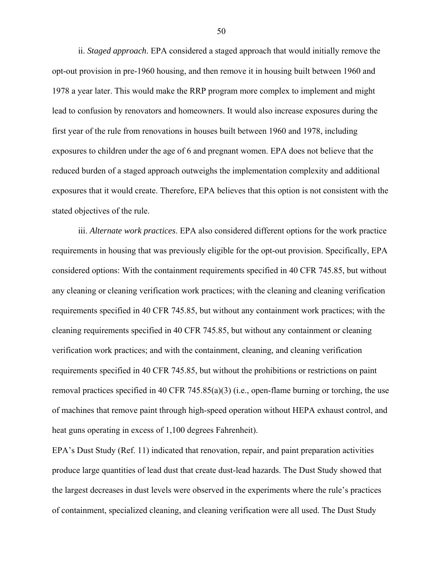ii. *Staged approach*. EPA considered a staged approach that would initially remove the opt-out provision in pre-1960 housing, and then remove it in housing built between 1960 and 1978 a year later. This would make the RRP program more complex to implement and might lead to confusion by renovators and homeowners. It would also increase exposures during the first year of the rule from renovations in houses built between 1960 and 1978, including exposures to children under the age of 6 and pregnant women. EPA does not believe that the reduced burden of a staged approach outweighs the implementation complexity and additional exposures that it would create. Therefore, EPA believes that this option is not consistent with the stated objectives of the rule.

 iii. *Alternate work practices*. EPA also considered different options for the work practice requirements in housing that was previously eligible for the opt-out provision. Specifically, EPA considered options: With the containment requirements specified in 40 CFR 745.85, but without any cleaning or cleaning verification work practices; with the cleaning and cleaning verification requirements specified in 40 CFR 745.85, but without any containment work practices; with the cleaning requirements specified in 40 CFR 745.85, but without any containment or cleaning verification work practices; and with the containment, cleaning, and cleaning verification requirements specified in 40 CFR 745.85, but without the prohibitions or restrictions on paint removal practices specified in 40 CFR 745.85(a)(3) (i.e., open-flame burning or torching, the use of machines that remove paint through high-speed operation without HEPA exhaust control, and heat guns operating in excess of 1,100 degrees Fahrenheit).

EPA's Dust Study (Ref. 11) indicated that renovation, repair, and paint preparation activities produce large quantities of lead dust that create dust-lead hazards. The Dust Study showed that the largest decreases in dust levels were observed in the experiments where the rule's practices of containment, specialized cleaning, and cleaning verification were all used. The Dust Study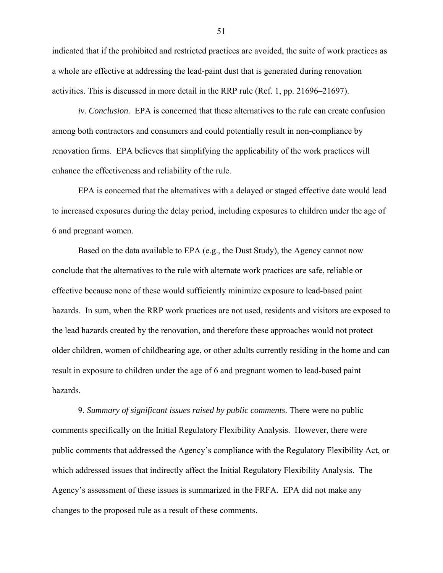indicated that if the prohibited and restricted practices are avoided, the suite of work practices as a whole are effective at addressing the lead-paint dust that is generated during renovation activities. This is discussed in more detail in the RRP rule (Ref. 1, pp. 21696–21697).

*iv. Conclusion.* EPA is concerned that these alternatives to the rule can create confusion among both contractors and consumers and could potentially result in non-compliance by renovation firms. EPA believes that simplifying the applicability of the work practices will enhance the effectiveness and reliability of the rule.

EPA is concerned that the alternatives with a delayed or staged effective date would lead to increased exposures during the delay period, including exposures to children under the age of 6 and pregnant women.

Based on the data available to EPA (e.g., the Dust Study), the Agency cannot now conclude that the alternatives to the rule with alternate work practices are safe, reliable or effective because none of these would sufficiently minimize exposure to lead-based paint hazards. In sum, when the RRP work practices are not used, residents and visitors are exposed to the lead hazards created by the renovation, and therefore these approaches would not protect older children, women of childbearing age, or other adults currently residing in the home and can result in exposure to children under the age of 6 and pregnant women to lead-based paint hazards.

9. *Summary of significant issues raised by public comments*. There were no public comments specifically on the Initial Regulatory Flexibility Analysis. However, there were public comments that addressed the Agency's compliance with the Regulatory Flexibility Act, or which addressed issues that indirectly affect the Initial Regulatory Flexibility Analysis. The Agency's assessment of these issues is summarized in the FRFA. EPA did not make any changes to the proposed rule as a result of these comments.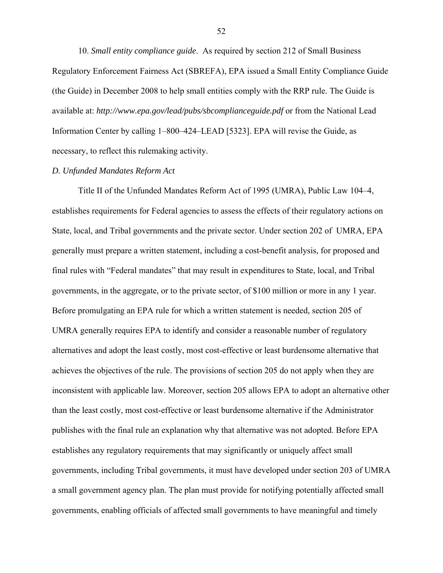10. *Small entity compliance guide*. As required by section 212 of Small Business Regulatory Enforcement Fairness Act (SBREFA), EPA issued a Small Entity Compliance Guide (the Guide) in December 2008 to help small entities comply with the RRP rule. The Guide is available at: *http://www.epa.gov/lead/pubs/sbcomplianceguide.pdf* or from the National Lead Information Center by calling 1–800–424–LEAD [5323]. EPA will revise the Guide, as necessary, to reflect this rulemaking activity.

## *D. Unfunded Mandates Reform Act*

 Title II of the Unfunded Mandates Reform Act of 1995 (UMRA), Public Law 104–4, establishes requirements for Federal agencies to assess the effects of their regulatory actions on State, local, and Tribal governments and the private sector. Under section 202 of UMRA, EPA generally must prepare a written statement, including a cost-benefit analysis, for proposed and final rules with "Federal mandates" that may result in expenditures to State, local, and Tribal governments, in the aggregate, or to the private sector, of \$100 million or more in any 1 year. Before promulgating an EPA rule for which a written statement is needed, section 205 of UMRA generally requires EPA to identify and consider a reasonable number of regulatory alternatives and adopt the least costly, most cost-effective or least burdensome alternative that achieves the objectives of the rule. The provisions of section 205 do not apply when they are inconsistent with applicable law. Moreover, section 205 allows EPA to adopt an alternative other than the least costly, most cost-effective or least burdensome alternative if the Administrator publishes with the final rule an explanation why that alternative was not adopted. Before EPA establishes any regulatory requirements that may significantly or uniquely affect small governments, including Tribal governments, it must have developed under section 203 of UMRA a small government agency plan. The plan must provide for notifying potentially affected small governments, enabling officials of affected small governments to have meaningful and timely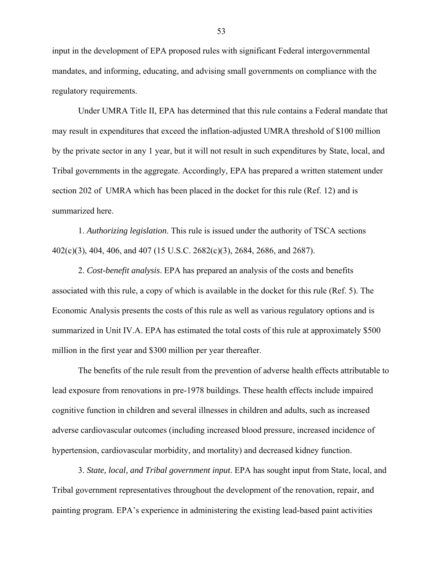input in the development of EPA proposed rules with significant Federal intergovernmental mandates, and informing, educating, and advising small governments on compliance with the regulatory requirements.

 Under UMRA Title II, EPA has determined that this rule contains a Federal mandate that may result in expenditures that exceed the inflation-adjusted UMRA threshold of \$100 million by the private sector in any 1 year, but it will not result in such expenditures by State, local, and Tribal governments in the aggregate. Accordingly, EPA has prepared a written statement under section 202 of UMRA which has been placed in the docket for this rule (Ref. 12) and is summarized here.

 1. *Authorizing legislation*. This rule is issued under the authority of TSCA sections 402(c)(3), 404, 406, and 407 (15 U.S.C. 2682(c)(3), 2684, 2686, and 2687).

 2. *Cost-benefit analysis*. EPA has prepared an analysis of the costs and benefits associated with this rule, a copy of which is available in the docket for this rule (Ref. 5). The Economic Analysis presents the costs of this rule as well as various regulatory options and is summarized in Unit IV.A. EPA has estimated the total costs of this rule at approximately \$500 million in the first year and \$300 million per year thereafter.

 The benefits of the rule result from the prevention of adverse health effects attributable to lead exposure from renovations in pre-1978 buildings. These health effects include impaired cognitive function in children and several illnesses in children and adults, such as increased adverse cardiovascular outcomes (including increased blood pressure, increased incidence of hypertension, cardiovascular morbidity, and mortality) and decreased kidney function.

 3. *State, local, and Tribal government input*. EPA has sought input from State, local, and Tribal government representatives throughout the development of the renovation, repair, and painting program. EPA's experience in administering the existing lead-based paint activities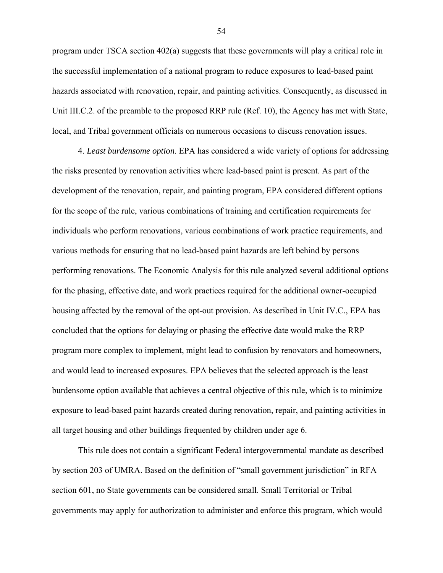program under TSCA section 402(a) suggests that these governments will play a critical role in the successful implementation of a national program to reduce exposures to lead-based paint hazards associated with renovation, repair, and painting activities. Consequently, as discussed in Unit III.C.2. of the preamble to the proposed RRP rule (Ref. 10), the Agency has met with State, local, and Tribal government officials on numerous occasions to discuss renovation issues.

 4. *Least burdensome option*. EPA has considered a wide variety of options for addressing the risks presented by renovation activities where lead-based paint is present. As part of the development of the renovation, repair, and painting program, EPA considered different options for the scope of the rule, various combinations of training and certification requirements for individuals who perform renovations, various combinations of work practice requirements, and various methods for ensuring that no lead-based paint hazards are left behind by persons performing renovations. The Economic Analysis for this rule analyzed several additional options for the phasing, effective date, and work practices required for the additional owner-occupied housing affected by the removal of the opt-out provision. As described in Unit IV.C., EPA has concluded that the options for delaying or phasing the effective date would make the RRP program more complex to implement, might lead to confusion by renovators and homeowners, and would lead to increased exposures. EPA believes that the selected approach is the least burdensome option available that achieves a central objective of this rule, which is to minimize exposure to lead-based paint hazards created during renovation, repair, and painting activities in all target housing and other buildings frequented by children under age 6.

 This rule does not contain a significant Federal intergovernmental mandate as described by section 203 of UMRA. Based on the definition of "small government jurisdiction" in RFA section 601, no State governments can be considered small. Small Territorial or Tribal governments may apply for authorization to administer and enforce this program, which would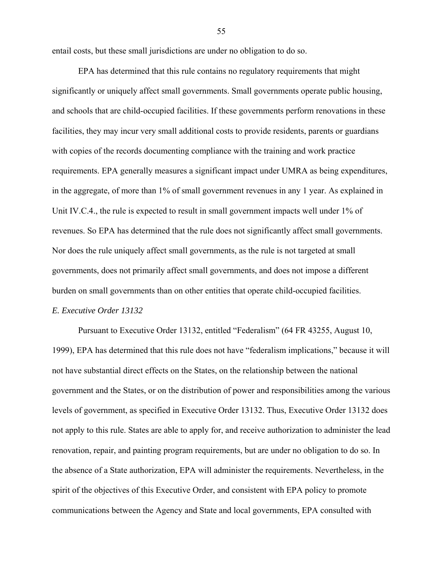entail costs, but these small jurisdictions are under no obligation to do so.

 EPA has determined that this rule contains no regulatory requirements that might significantly or uniquely affect small governments. Small governments operate public housing, and schools that are child-occupied facilities. If these governments perform renovations in these facilities, they may incur very small additional costs to provide residents, parents or guardians with copies of the records documenting compliance with the training and work practice requirements. EPA generally measures a significant impact under UMRA as being expenditures, in the aggregate, of more than 1% of small government revenues in any 1 year. As explained in Unit IV.C.4., the rule is expected to result in small government impacts well under 1% of revenues. So EPA has determined that the rule does not significantly affect small governments. Nor does the rule uniquely affect small governments, as the rule is not targeted at small governments, does not primarily affect small governments, and does not impose a different burden on small governments than on other entities that operate child-occupied facilities.

## *E. Executive Order 13132*

 Pursuant to Executive Order 13132, entitled "Federalism" (64 FR 43255, August 10, 1999), EPA has determined that this rule does not have "federalism implications," because it will not have substantial direct effects on the States, on the relationship between the national government and the States, or on the distribution of power and responsibilities among the various levels of government, as specified in Executive Order 13132. Thus, Executive Order 13132 does not apply to this rule. States are able to apply for, and receive authorization to administer the lead renovation, repair, and painting program requirements, but are under no obligation to do so. In the absence of a State authorization, EPA will administer the requirements. Nevertheless, in the spirit of the objectives of this Executive Order, and consistent with EPA policy to promote communications between the Agency and State and local governments, EPA consulted with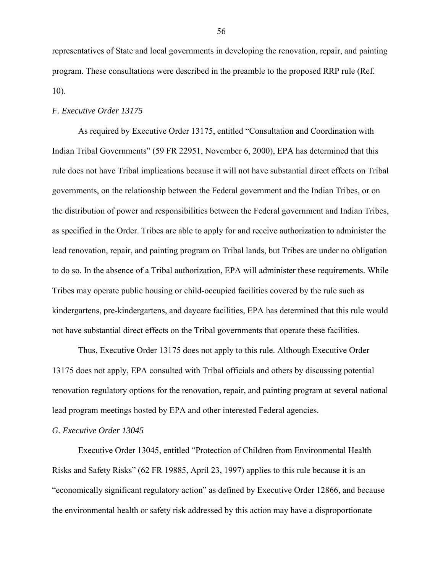representatives of State and local governments in developing the renovation, repair, and painting program. These consultations were described in the preamble to the proposed RRP rule (Ref. 10).

## *F. Executive Order 13175*

 As required by Executive Order 13175, entitled "Consultation and Coordination with Indian Tribal Governments" (59 FR 22951, November 6, 2000), EPA has determined that this rule does not have Tribal implications because it will not have substantial direct effects on Tribal governments, on the relationship between the Federal government and the Indian Tribes, or on the distribution of power and responsibilities between the Federal government and Indian Tribes, as specified in the Order. Tribes are able to apply for and receive authorization to administer the lead renovation, repair, and painting program on Tribal lands, but Tribes are under no obligation to do so. In the absence of a Tribal authorization, EPA will administer these requirements. While Tribes may operate public housing or child-occupied facilities covered by the rule such as kindergartens, pre-kindergartens, and daycare facilities, EPA has determined that this rule would not have substantial direct effects on the Tribal governments that operate these facilities.

 Thus, Executive Order 13175 does not apply to this rule. Although Executive Order 13175 does not apply, EPA consulted with Tribal officials and others by discussing potential renovation regulatory options for the renovation, repair, and painting program at several national lead program meetings hosted by EPA and other interested Federal agencies.

#### *G. Executive Order 13045*

 Executive Order 13045, entitled "Protection of Children from Environmental Health Risks and Safety Risks" (62 FR 19885, April 23, 1997) applies to this rule because it is an "economically significant regulatory action" as defined by Executive Order 12866, and because the environmental health or safety risk addressed by this action may have a disproportionate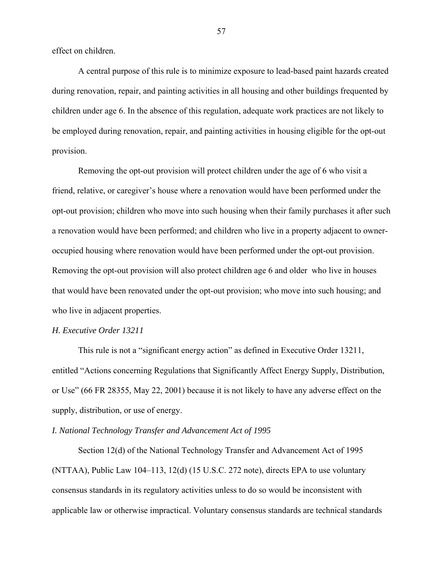effect on children.

 A central purpose of this rule is to minimize exposure to lead-based paint hazards created during renovation, repair, and painting activities in all housing and other buildings frequented by children under age 6. In the absence of this regulation, adequate work practices are not likely to be employed during renovation, repair, and painting activities in housing eligible for the opt-out provision.

 Removing the opt-out provision will protect children under the age of 6 who visit a friend, relative, or caregiver's house where a renovation would have been performed under the opt-out provision; children who move into such housing when their family purchases it after such a renovation would have been performed; and children who live in a property adjacent to owneroccupied housing where renovation would have been performed under the opt-out provision. Removing the opt-out provision will also protect children age 6 and older who live in houses that would have been renovated under the opt-out provision; who move into such housing; and who live in adjacent properties.

## *H. Executive Order 13211*

 This rule is not a "significant energy action" as defined in Executive Order 13211, entitled "Actions concerning Regulations that Significantly Affect Energy Supply, Distribution, or Use" (66 FR 28355, May 22, 2001) because it is not likely to have any adverse effect on the supply, distribution, or use of energy.

## *I. National Technology Transfer and Advancement Act of 1995*

 Section 12(d) of the National Technology Transfer and Advancement Act of 1995 (NTTAA), Public Law 104–113, 12(d) (15 U.S.C. 272 note), directs EPA to use voluntary consensus standards in its regulatory activities unless to do so would be inconsistent with applicable law or otherwise impractical. Voluntary consensus standards are technical standards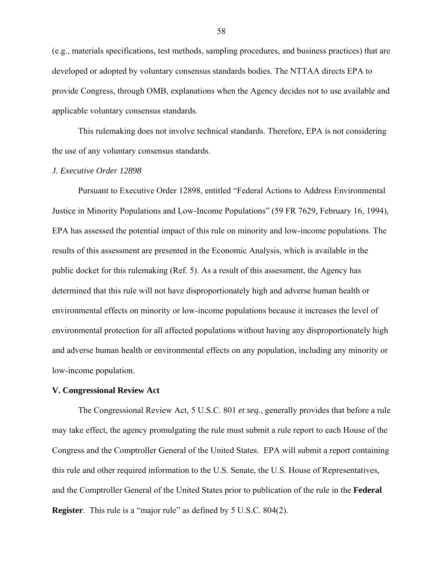(e.g., materials specifications, test methods, sampling procedures, and business practices) that are developed or adopted by voluntary consensus standards bodies. The NTTAA directs EPA to provide Congress, through OMB, explanations when the Agency decides not to use available and applicable voluntary consensus standards.

 This rulemaking does not involve technical standards. Therefore, EPA is not considering the use of any voluntary consensus standards.

## *J. Executive Order 12898*

 Pursuant to Executive Order 12898, entitled "Federal Actions to Address Environmental Justice in Minority Populations and Low-Income Populations" (59 FR 7629, February 16, 1994), EPA has assessed the potential impact of this rule on minority and low-income populations. The results of this assessment are presented in the Economic Analysis, which is available in the public docket for this rulemaking (Ref. 5). As a result of this assessment, the Agency has determined that this rule will not have disproportionately high and adverse human health or environmental effects on minority or low-income populations because it increases the level of environmental protection for all affected populations without having any disproportionately high and adverse human health or environmental effects on any population, including any minority or low-income population.

## **V. Congressional Review Act**

 The Congressional Review Act, 5 U.S.C. 801 *et seq*., generally provides that before a rule may take effect, the agency promulgating the rule must submit a rule report to each House of the Congress and the Comptroller General of the United States. EPA will submit a report containing this rule and other required information to the U.S. Senate, the U.S. House of Representatives, and the Comptroller General of the United States prior to publication of the rule in the **Federal Register**. This rule is a "major rule" as defined by 5 U.S.C. 804(2).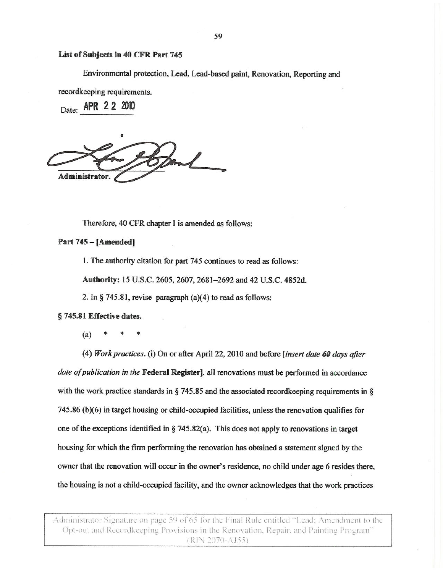#### List of Subjects in 40 CFR Part 745

Environmental protection, Lead, Lead-based paint, Renovation, Reporting and

recordkeeping requirements.

Date: APR 2 2 2010

**Administrator** 

Therefore, 40 CFR chapter I is amended as follows:

#### Part 745 - [Amended]

1. The authority citation for part 745 continues to read as follows:

Authority: 15 U.S.C. 2605, 2607, 2681-2692 and 42 U.S.C. 4852d.

2. In § 745.81, revise paragraph  $(a)(4)$  to read as follows:

§ 745.81 Effective dates.

 $(a)$ 

(4) Work practices. (i) On or after April 22, 2010 and before [insert date 60 days after date of publication in the Federal Register], all renovations must be performed in accordance with the work practice standards in § 745.85 and the associated record keeping requirements in § 745.86 (b)(6) in target housing or child-occupied facilities, unless the renovation qualifies for one of the exceptions identified in  $\S$  745.82(a). This does not apply to renovations in target housing for which the firm performing the renovation has obtained a statement signed by the owner that the renovation will occur in the owner's residence, no child under age 6 resides there, the housing is not a child-occupied facility, and the owner acknowledges that the work practices

Administrator Signature on page 59 of 65 for the Final Rule entitled "Lead; Amendment to the Opt-out and Recordkeeping Provisions in the Renovation, Repair, and Painting Program" (RIN 2070-AJ55)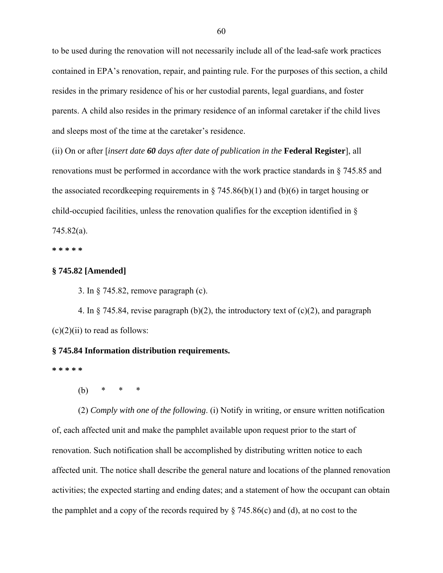to be used during the renovation will not necessarily include all of the lead-safe work practices contained in EPA's renovation, repair, and painting rule. For the purposes of this section, a child resides in the primary residence of his or her custodial parents, legal guardians, and foster parents. A child also resides in the primary residence of an informal caretaker if the child lives and sleeps most of the time at the caretaker's residence.

(ii) On or after [*insert date 60 days after date of publication in the* **Federal Register**], all renovations must be performed in accordance with the work practice standards in § 745.85 and the associated recordkeeping requirements in  $\S$  745.86(b)(1) and (b)(6) in target housing or child-occupied facilities, unless the renovation qualifies for the exception identified in § 745.82(a).

**\* \* \* \* \*** 

## **§ 745.82 [Amended]**

3. In § 745.82, remove paragraph (c).

4. In § 745.84, revise paragraph (b)(2), the introductory text of (c)(2), and paragraph  $(c)(2)(ii)$  to read as follows:

## **§ 745.84 Information distribution requirements.**

**\* \* \* \* \*** 

(b) \* \* \*

 (2) *Comply with one of the following*. (i) Notify in writing, or ensure written notification of, each affected unit and make the pamphlet available upon request prior to the start of renovation. Such notification shall be accomplished by distributing written notice to each affected unit. The notice shall describe the general nature and locations of the planned renovation activities; the expected starting and ending dates; and a statement of how the occupant can obtain the pamphlet and a copy of the records required by  $\S$  745.86(c) and (d), at no cost to the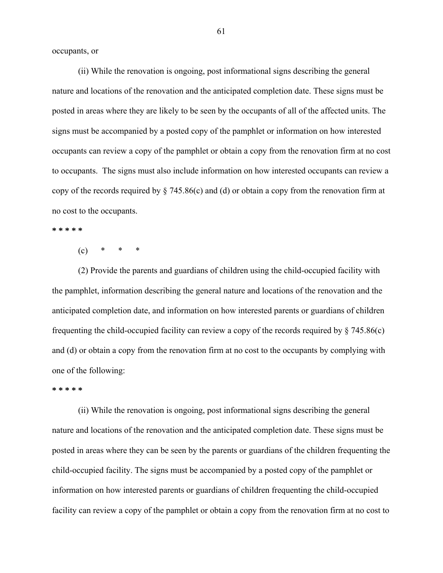occupants, or

 (ii) While the renovation is ongoing, post informational signs describing the general nature and locations of the renovation and the anticipated completion date. These signs must be posted in areas where they are likely to be seen by the occupants of all of the affected units. The signs must be accompanied by a posted copy of the pamphlet or information on how interested occupants can review a copy of the pamphlet or obtain a copy from the renovation firm at no cost to occupants. The signs must also include information on how interested occupants can review a copy of the records required by § 745.86(c) and (d) or obtain a copy from the renovation firm at no cost to the occupants.

**\* \* \* \* \*** 

 $(c)$  \* \* \*

 (2) Provide the parents and guardians of children using the child-occupied facility with the pamphlet, information describing the general nature and locations of the renovation and the anticipated completion date, and information on how interested parents or guardians of children frequenting the child-occupied facility can review a copy of the records required by § 745.86(c) and (d) or obtain a copy from the renovation firm at no cost to the occupants by complying with one of the following:

**\* \* \* \* \*** 

 (ii) While the renovation is ongoing, post informational signs describing the general nature and locations of the renovation and the anticipated completion date. These signs must be posted in areas where they can be seen by the parents or guardians of the children frequenting the child-occupied facility. The signs must be accompanied by a posted copy of the pamphlet or information on how interested parents or guardians of children frequenting the child-occupied facility can review a copy of the pamphlet or obtain a copy from the renovation firm at no cost to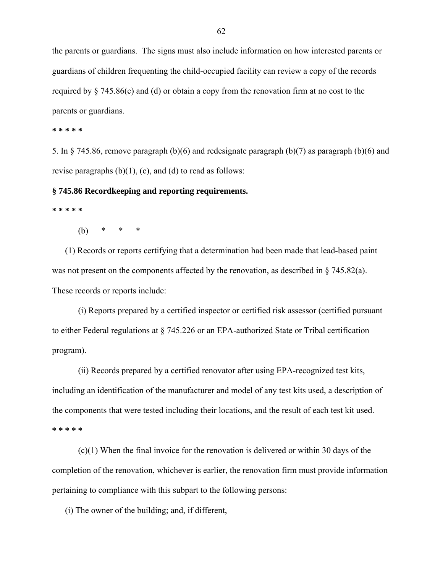the parents or guardians. The signs must also include information on how interested parents or guardians of children frequenting the child-occupied facility can review a copy of the records required by § 745.86(c) and (d) or obtain a copy from the renovation firm at no cost to the parents or guardians.

**\* \* \* \* \*** 

5. In § 745.86, remove paragraph (b)(6) and redesignate paragraph (b)(7) as paragraph (b)(6) and revise paragraphs  $(b)(1)$ ,  $(c)$ , and  $(d)$  to read as follows:

## **§ 745.86 Recordkeeping and reporting requirements.**

**\* \* \* \* \*** 

(b) \* \* \*

(1) Records or reports certifying that a determination had been made that lead-based paint was not present on the components affected by the renovation, as described in § 745.82(a). These records or reports include:

 (i) Reports prepared by a certified inspector or certified risk assessor (certified pursuant to either Federal regulations at § 745.226 or an EPA-authorized State or Tribal certification program).

 (ii) Records prepared by a certified renovator after using EPA-recognized test kits, including an identification of the manufacturer and model of any test kits used, a description of the components that were tested including their locations, and the result of each test kit used. **\* \* \* \* \*** 

 (c)(1) When the final invoice for the renovation is delivered or within 30 days of the completion of the renovation, whichever is earlier, the renovation firm must provide information pertaining to compliance with this subpart to the following persons:

(i) The owner of the building; and, if different,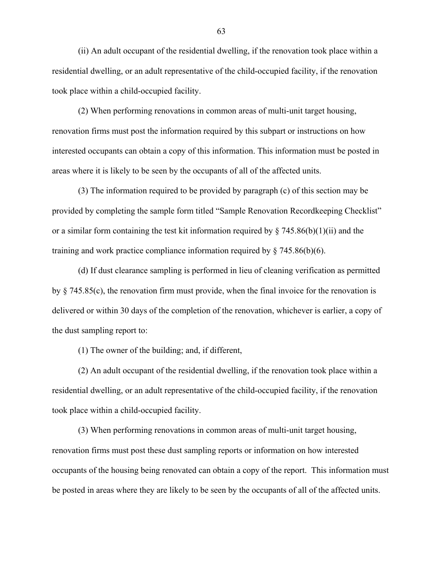(ii) An adult occupant of the residential dwelling, if the renovation took place within a residential dwelling, or an adult representative of the child-occupied facility, if the renovation took place within a child-occupied facility.

 (2) When performing renovations in common areas of multi-unit target housing, renovation firms must post the information required by this subpart or instructions on how interested occupants can obtain a copy of this information. This information must be posted in areas where it is likely to be seen by the occupants of all of the affected units.

 (3) The information required to be provided by paragraph (c) of this section may be provided by completing the sample form titled "Sample Renovation Recordkeeping Checklist" or a similar form containing the test kit information required by  $\S$  745.86(b)(1)(ii) and the training and work practice compliance information required by  $\S$  745.86(b)(6).

 (d) If dust clearance sampling is performed in lieu of cleaning verification as permitted by § 745.85(c), the renovation firm must provide, when the final invoice for the renovation is delivered or within 30 days of the completion of the renovation, whichever is earlier, a copy of the dust sampling report to:

(1) The owner of the building; and, if different,

 (2) An adult occupant of the residential dwelling, if the renovation took place within a residential dwelling, or an adult representative of the child-occupied facility, if the renovation took place within a child-occupied facility.

 (3) When performing renovations in common areas of multi-unit target housing, renovation firms must post these dust sampling reports or information on how interested occupants of the housing being renovated can obtain a copy of the report. This information must be posted in areas where they are likely to be seen by the occupants of all of the affected units.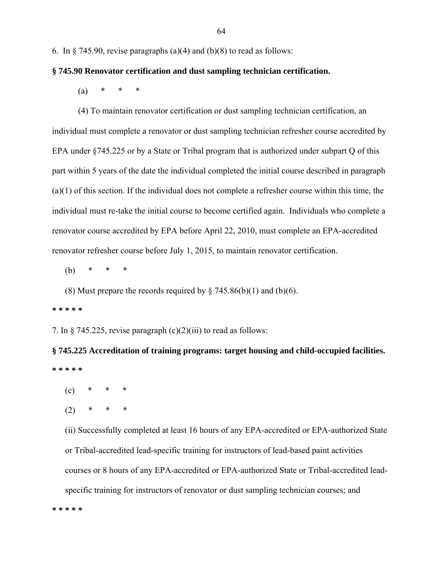6. In  $\S$  745.90, revise paragraphs (a)(4) and (b)(8) to read as follows:

#### **§ 745.90 Renovator certification and dust sampling technician certification.**

 $(a)$ 

(4) To maintain renovator certification or dust sampling technician certification, an individual must complete a renovator or dust sampling technician refresher course accredited by EPA under §745.225 or by a State or Tribal program that is authorized under subpart Q of this part within 5 years of the date the individual completed the initial course described in paragraph (a)(1) of this section. If the individual does not complete a refresher course within this time, the individual must re-take the initial course to become certified again. Individuals who complete a renovator course accredited by EPA before April 22, 2010, must complete an EPA-accredited renovator refresher course before July 1, 2015, to maintain renovator certification.

 $(b)$ 

(8) Must prepare the records required by  $\S$  745.86(b)(1) and (b)(6).

**\* \* \* \* \*** 

**\* \* \* \* \*** 

7. In  $\S$  745.225, revise paragraph (c)(2)(iii) to read as follows:

**§ 745.225 Accreditation of training programs: target housing and child-occupied facilities. \* \* \* \* \*** 

- (c) \* \* \*
- $(2)$

(ii) Successfully completed at least 16 hours of any EPA-accredited or EPA-authorized State or Tribal-accredited lead-specific training for instructors of lead-based paint activities courses or 8 hours of any EPA-accredited or EPA-authorized State or Tribal-accredited leadspecific training for instructors of renovator or dust sampling technician courses; and